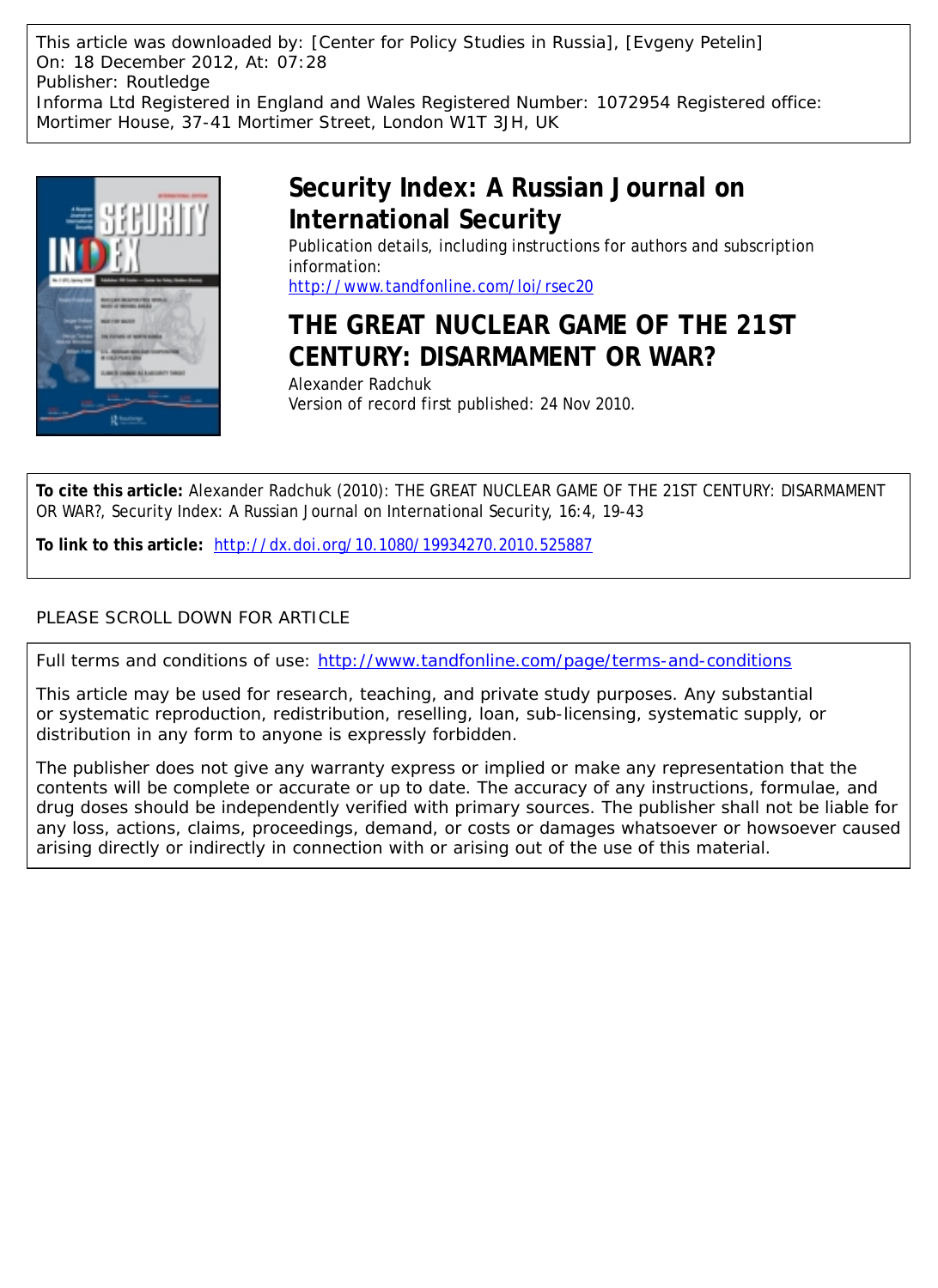This article was downloaded by: [Center for Policy Studies in Russia], [Evgeny Petelin] On: 18 December 2012, At: 07:28 Publisher: Routledge Informa Ltd Registered in England and Wales Registered Number: 1072954 Registered office: Mortimer House, 37-41 Mortimer Street, London W1T 3JH, UK



# **Security Index: A Russian Journal on International Security**

Publication details, including instructions for authors and subscription information:

<http://www.tandfonline.com/loi/rsec20>

## **THE GREAT NUCLEAR GAME OF THE 21ST CENTURY: DISARMAMENT OR WAR?**

Alexander Radchuk Version of record first published: 24 Nov 2010.

**To cite this article:** Alexander Radchuk (2010): THE GREAT NUCLEAR GAME OF THE 21ST CENTURY: DISARMAMENT OR WAR?, Security Index: A Russian Journal on International Security, 16:4, 19-43

**To link to this article:** <http://dx.doi.org/10.1080/19934270.2010.525887>

## PLEASE SCROLL DOWN FOR ARTICLE

Full terms and conditions of use:<http://www.tandfonline.com/page/terms-and-conditions>

This article may be used for research, teaching, and private study purposes. Any substantial or systematic reproduction, redistribution, reselling, loan, sub-licensing, systematic supply, or distribution in any form to anyone is expressly forbidden.

The publisher does not give any warranty express or implied or make any representation that the contents will be complete or accurate or up to date. The accuracy of any instructions, formulae, and drug doses should be independently verified with primary sources. The publisher shall not be liable for any loss, actions, claims, proceedings, demand, or costs or damages whatsoever or howsoever caused arising directly or indirectly in connection with or arising out of the use of this material.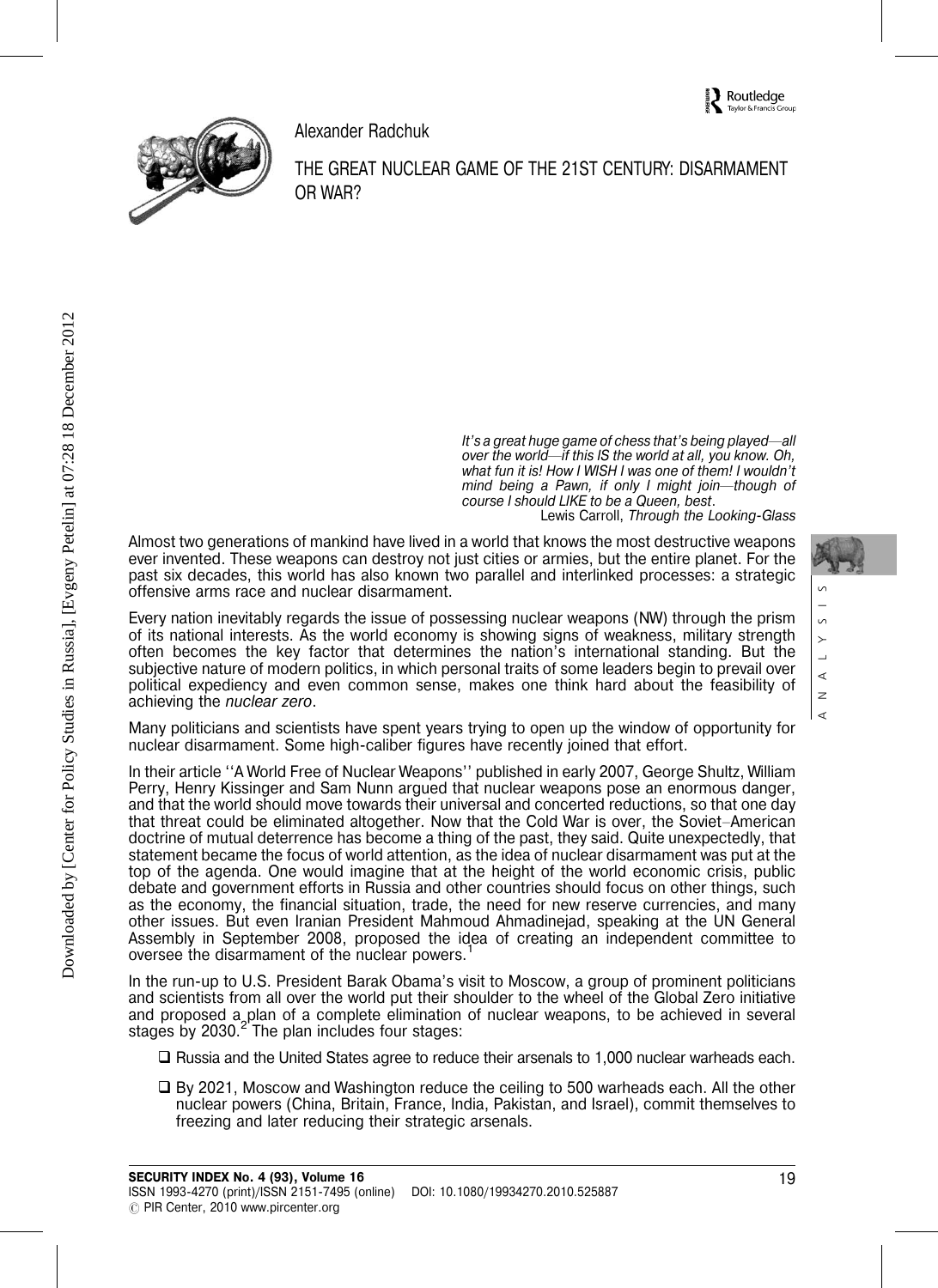



Downloaded by [Center for Policy Studies in Russia], [Evgeny Petelin] at 07:28 18 December 2012

Downloaded by [Center for Policy Studies in Russia], [Evgeny Petelin] at 07:28 18 December 2012

Alexander Radchuk

THE GREAT NUCLEAR GAME OF THE 21ST CENTURY: DISARMAMENT OR WAR?

> It's a great huge game of chess that's being played-all over the world—if this IS the world at all, you know. Oh, what fun it is! How I WISH I was one of them! I wouldn't mind being a Pawn, if only I might join-though of course I should LIKE to be a Queen, best.

Lewis Carroll, Through the Looking-Glass

Almost two generations of mankind have lived in a world that knows the most destructive weapons ever invented. These weapons can destroy not just cities or armies, but the entire planet. For the past six decades, this world has also known two parallel and interlinked processes: a strategic offensive arms race and nuclear disarmament.

Every nation inevitably regards the issue of possessing nuclear weapons (NW) through the prism of its national interests. As the world economy is showing signs of weakness, military strength often becomes the key factor that determines the nation's international standing. But the subjective nature of modern politics, in which personal traits of some leaders begin to prevail over political expediency and even common sense, makes one think hard about the feasibility of achieving the nuclear zero.

Many politicians and scientists have spent years trying to open up the window of opportunity for nuclear disarmament. Some high-caliber figures have recently joined that effort.

In their article ''A World Free of Nuclear Weapons'' published in early 2007, George Shultz, William Perry, Henry Kissinger and Sam Nunn argued that nuclear weapons pose an enormous danger, and that the world should move towards their universal and concerted reductions, so that one day that threat could be eliminated altogether. Now that the Cold War is over, the Soviet-American doctrine of mutual deterrence has become a thing of the past, they said. Quite unexpectedly, that statement became the focus of world attention, as the idea of nuclear disarmament was put at the top of the agenda. One would imagine that at the height of the world economic crisis, public debate and government efforts in Russia and other countries should focus on other things, such as the economy, the financial situation, trade, the need for new reserve currencies, and many other issues. But even Iranian President Mahmoud Ahmadinejad, speaking at the UN General Assembly in September 2008, proposed the idea of creating an independent committee to oversee the disarmament of the nuclear powers.<sup>1</sup>

In the run-up to U.S. President Barak Obama's visit to Moscow, a group of prominent politicians and scientists from all over the world put their shoulder to the wheel of the Global Zero initiative and proposed a plan of a complete elimination of nuclear weapons, to be achieved in several<br>stages by 2030.<sup>2</sup> The plan includes four stages:

- $\Box$  Russia and the United States agree to reduce their arsenals to 1,000 nuclear warheads each.
- $\Box$  By 2021, Moscow and Washington reduce the ceiling to 500 warheads each. All the other nuclear powers (China, Britain, France, India, Pakistan, and Israel), commit themselves to freezing and later reducing their strategic arsenals.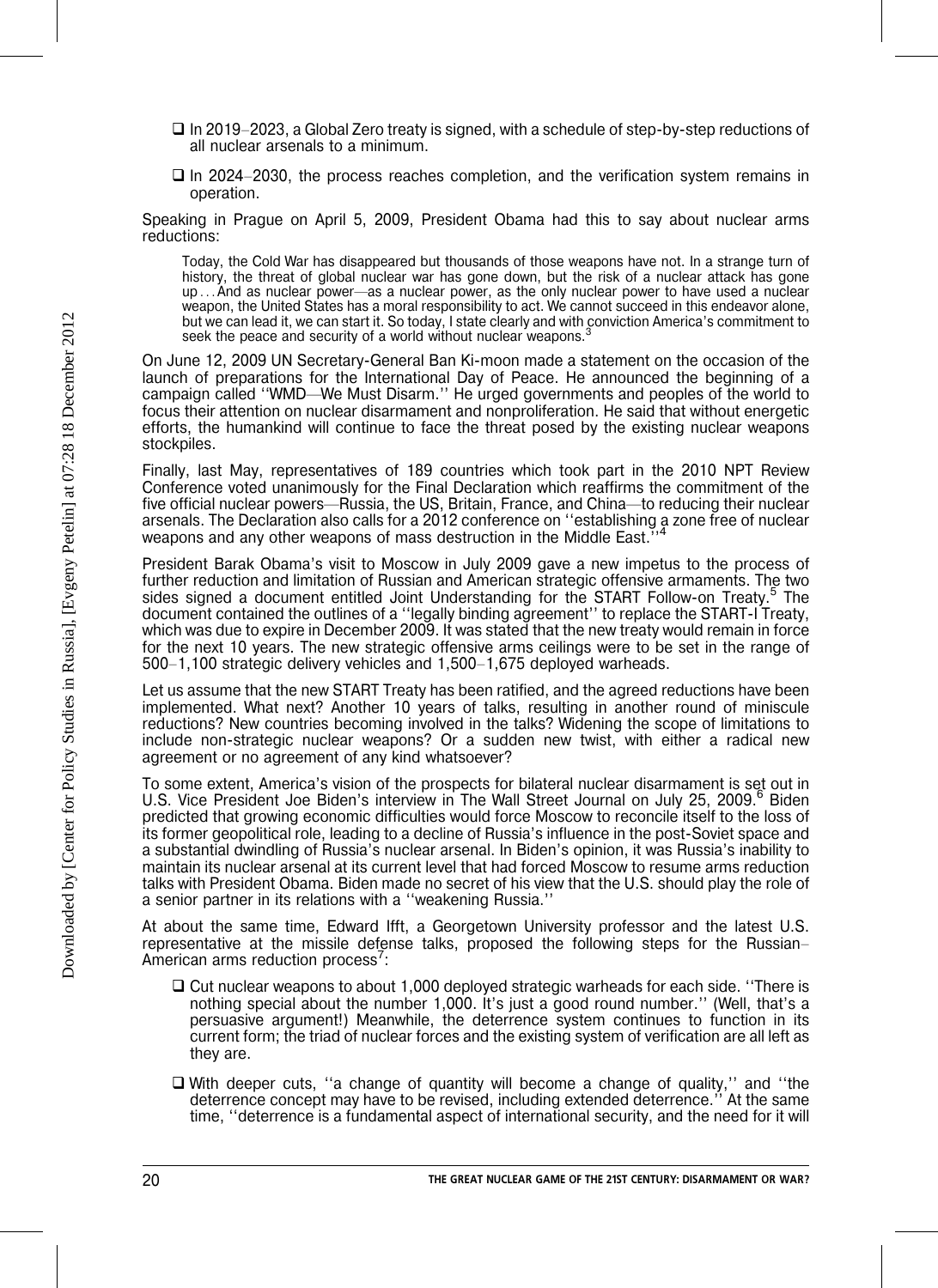- $\Box$  In 2019–2023, a Global Zero treaty is signed, with a schedule of step-by-step reductions of all nuclear arsenals to a minimum.
- $\square$  In 2024–2030, the process reaches completion, and the verification system remains in operation.

Speaking in Prague on April 5, 2009, President Obama had this to say about nuclear arms reductions:

Today, the Cold War has disappeared but thousands of those weapons have not. In a strange turn of history, the threat of global nuclear war has gone down, but the risk of a nuclear attack has gone up... And as nuclear power—as a nuclear power, as the only nuclear power to have used a nuclear weapon, the United States has a moral responsibility to act. We cannot succeed in this endeavor alone, but we can lead it, we can start it. So today, I state clearly and with conviction America's commitment to seek the peace and security of a world without nuclear weapons.

On June 12, 2009 UN Secretary-General Ban Ki-moon made a statement on the occasion of the launch of preparations for the International Day of Peace. He announced the beginning of a campaign called "WMD—We Must Disarm." He urged governments and peoples of the world to focus their attention on nuclear disarmament and nonproliferation. He said that without energetic efforts, the humankind will continue to face the threat posed by the existing nuclear weapons stockpiles.

Finally, last May, representatives of 189 countries which took part in the 2010 NPT Review Conference voted unanimously for the Final Declaration which reaffirms the commitment of the five official nuclear powers—Russia, the US, Britain, France, and China—to reducing their nuclear arsenals. The Declaration also calls for a 2012 conference on "establishing a zone free of nuclear weapons and any other weapons of mass destruction in the Middle East.

President Barak Obama's visit to Moscow in July 2009 gave a new impetus to the process of further reduction and limitation of Russian and American strategic offensive armaments. The two sides signed a document entitled Joint Understanding for the START Follow-on Treaty.<sup>5</sup> The document contained the outlines of a ''legally binding agreement'' to replace the START-I Treaty, which was due to expire in December 2009. It was stated that the new treaty would remain in force for the next 10 years. The new strategic offensive arms ceilings were to be set in the range of 500-1,100 strategic delivery vehicles and 1,500-1,675 deployed warheads.

Let us assume that the new START Treaty has been ratified, and the agreed reductions have been implemented. What next? Another 10 years of talks, resulting in another round of miniscule reductions? New countries becoming involved in the talks? Widening the scope of limitations to include non-strategic nuclear weapons? Or a sudden new twist, with either a radical new agreement or no agreement of any kind whatsoever?

To some extent, America's vision of the prospects for bilateral nuclear disarmament is set out in U.S. Vice President Joe Biden's interview in The Wall Street Journal on July 25, 2009.<sup>6</sup> Biden predicted that growing economic difficulties would force Moscow to reconcile itself to the loss of its former geopolitical role, leading to a decline of Russia's influence in the post-Soviet space and a substantial dwindling of Russia's nuclear arsenal. In Biden's opinion, it was Russia's inability to maintain its nuclear arsenal at its current level that had forced Moscow to resume arms reduction talks with President Obama. Biden made no secret of his view that the U.S. should play the role of a senior partner in its relations with a ''weakening Russia.''

At about the same time, Edward Ifft, a Georgetown University professor and the latest U.S. representative at the missile defense talks, proposed the following steps for the Russian-American arms reduction process<sup>7</sup>:

- $\Box$  Cut nuclear weapons to about 1,000 deployed strategic warheads for each side. "There is nothing special about the number 1,000. It's just a good round number.'' (Well, that's a persuasive argument!) Meanwhile, the deterrence system continues to function in its current form; the triad of nuclear forces and the existing system of verification are all left as they are.
- $\Box$  With deeper cuts, "a change of quantity will become a change of quality," and "the deterrence concept may have to be revised, including extended deterrence.'' At the same time, ''deterrence is a fundamental aspect of international security, and the need for it will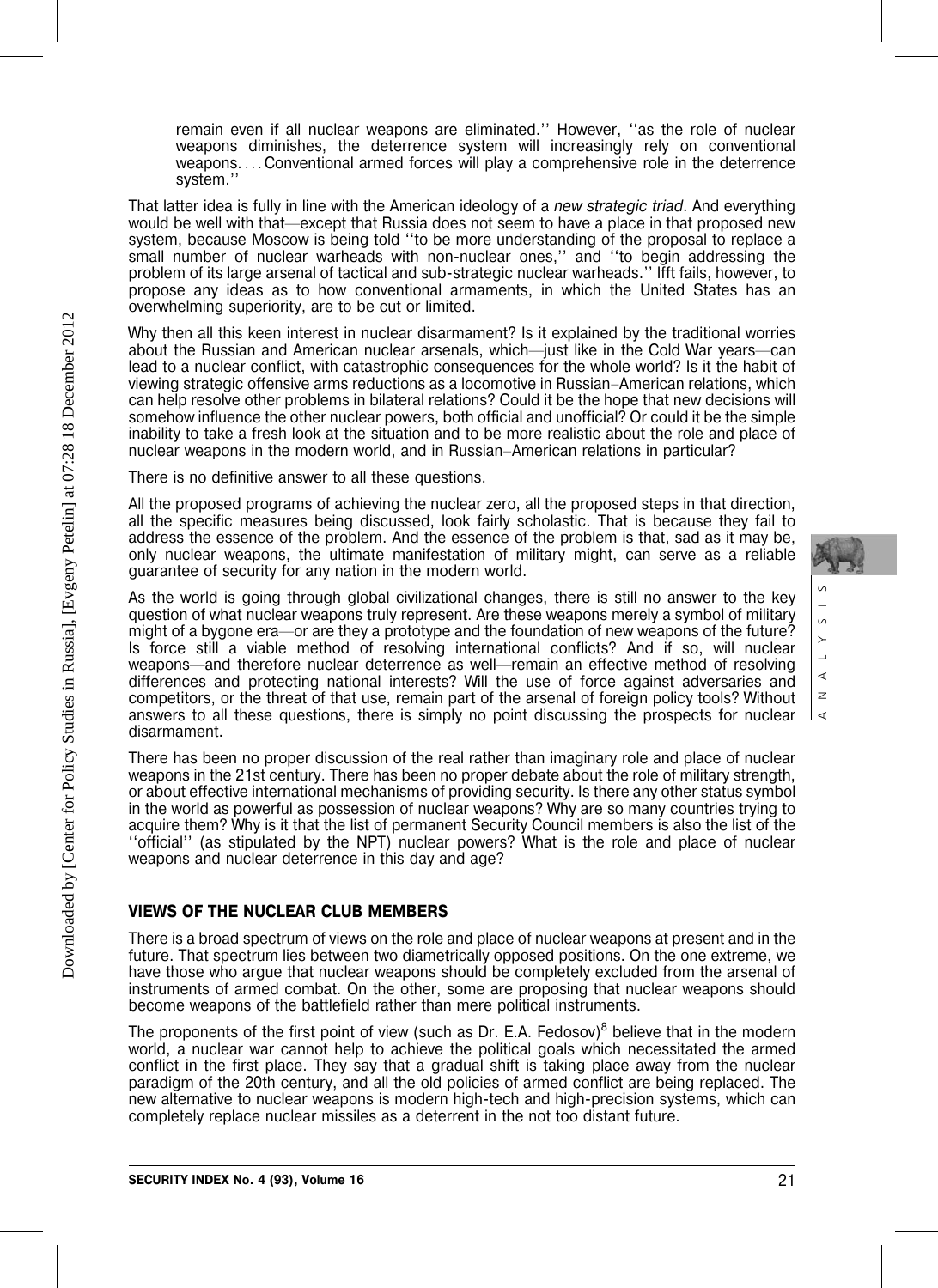remain even if all nuclear weapons are eliminated.'' However, ''as the role of nuclear weapons diminishes, the deterrence system will increasingly rely on conventional weapons. ... Conventional armed forces will play a comprehensive role in the deterrence system.''

That latter idea is fully in line with the American ideology of a new strategic triad. And everything would be well with that—except that Russia does not seem to have a place in that proposed new system, because Moscow is being told ''to be more understanding of the proposal to replace a small number of nuclear warheads with non-nuclear ones,'' and ''to begin addressing the problem of its large arsenal of tactical and sub-strategic nuclear warheads.'' Ifft fails, however, to propose any ideas as to how conventional armaments, in which the United States has an overwhelming superiority, are to be cut or limited.

Why then all this keen interest in nuclear disarmament? Is it explained by the traditional worries about the Russian and American nuclear arsenals, which—just like in the Cold War years—can lead to a nuclear conflict, with catastrophic consequences for the whole world? Is it the habit of viewing strategic offensive arms reductions as a locomotive in Russian-American relations, which can help resolve other problems in bilateral relations? Could it be the hope that new decisions will somehow influence the other nuclear powers, both official and unofficial? Or could it be the simple inability to take a fresh look at the situation and to be more realistic about the role and place of nuclear weapons in the modern world, and in Russian-American relations in particular?

There is no definitive answer to all these questions.

All the proposed programs of achieving the nuclear zero, all the proposed steps in that direction, all the specific measures being discussed, look fairly scholastic. That is because they fail to address the essence of the problem. And the essence of the problem is that, sad as it may be, only nuclear weapons, the ultimate manifestation of military might, can serve as a reliable guarantee of security for any nation in the modern world.

As the world is going through global civilizational changes, there is still no answer to the key question of what nuclear weapons truly represent. Are these weapons merely a symbol of military might of a bygone era—or are they a prototype and the foundation of new weapons of the future? Is force still a viable method of resolving international conflicts? And if so, will nuclear weapons—and therefore nuclear deterrence as well—remain an effective method of resolving differences and protecting national interests? Will the use of force against adversaries and competitors, or the threat of that use, remain part of the arsenal of foreign policy tools? Without answers to all these questions, there is simply no point discussing the prospects for nuclear disarmament.

There has been no proper discussion of the real rather than imaginary role and place of nuclear weapons in the 21st century. There has been no proper debate about the role of military strength, or about effective international mechanisms of providing security. Is there any other status symbol in the world as powerful as possession of nuclear weapons? Why are so many countries trying to acquire them? Why is it that the list of permanent Security Council members is also the list of the ''official'' (as stipulated by the NPT) nuclear powers? What is the role and place of nuclear weapons and nuclear deterrence in this day and age?

## VIEWS OF THE NUCLEAR CLUB MEMBERS

There is a broad spectrum of views on the role and place of nuclear weapons at present and in the future. That spectrum lies between two diametrically opposed positions. On the one extreme, we have those who argue that nuclear weapons should be completely excluded from the arsenal of instruments of armed combat. On the other, some are proposing that nuclear weapons should become weapons of the battlefield rather than mere political instruments.

The proponents of the first point of view (such as Dr. E.A. Fedosov) $<sup>8</sup>$  believe that in the modern</sup> world, a nuclear war cannot help to achieve the political goals which necessitated the armed conflict in the first place. They say that a gradual shift is taking place away from the nuclear paradigm of the 20th century, and all the old policies of armed conflict are being replaced. The new alternative to nuclear weapons is modern high-tech and high-precision systems, which can completely replace nuclear missiles as a deterrent in the not too distant future.

 $\circ$  $\rightarrow$  $\overline{\phantom{a}}$  $\prec$  $\overline{z}$  $\vert$   $\triangleleft$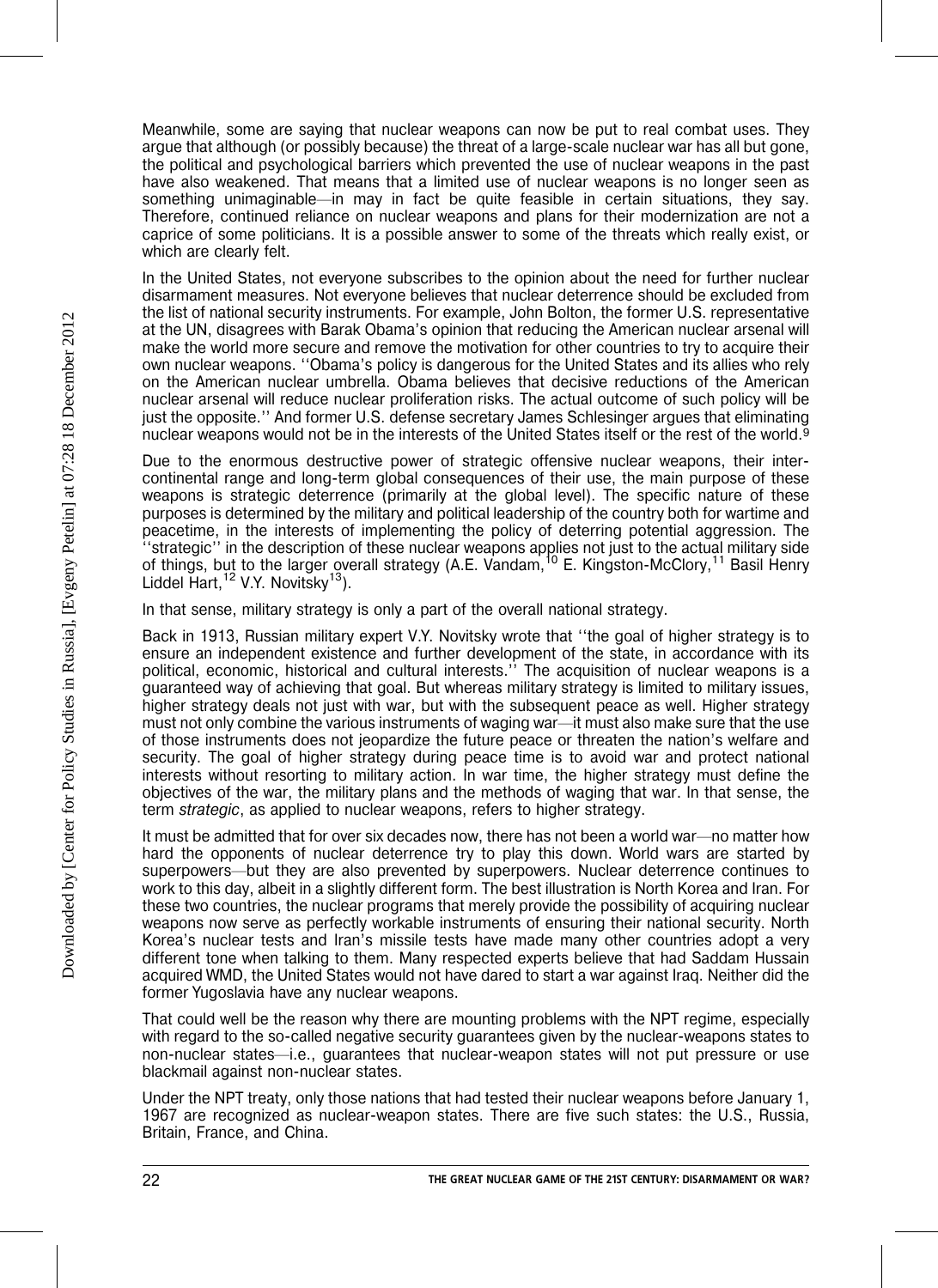Meanwhile, some are saying that nuclear weapons can now be put to real combat uses. They argue that although (or possibly because) the threat of a large-scale nuclear war has all but gone, the political and psychological barriers which prevented the use of nuclear weapons in the past have also weakened. That means that a limited use of nuclear weapons is no longer seen as something unimaginable—in may in fact be quite feasible in certain situations, they say. Therefore, continued reliance on nuclear weapons and plans for their modernization are not a caprice of some politicians. It is a possible answer to some of the threats which really exist, or which are clearly felt.

In the United States, not everyone subscribes to the opinion about the need for further nuclear disarmament measures. Not everyone believes that nuclear deterrence should be excluded from the list of national security instruments. For example, John Bolton, the former U.S. representative at the UN, disagrees with Barak Obama's opinion that reducing the American nuclear arsenal will make the world more secure and remove the motivation for other countries to try to acquire their own nuclear weapons. ''Obama's policy is dangerous for the United States and its allies who rely on the American nuclear umbrella. Obama believes that decisive reductions of the American nuclear arsenal will reduce nuclear proliferation risks. The actual outcome of such policy will be just the opposite.'' And former U.S. defense secretary James Schlesinger argues that eliminating nuclear weapons would not be in the interests of the United States itself or the rest of the world.9

Due to the enormous destructive power of strategic offensive nuclear weapons, their intercontinental range and long-term global consequences of their use, the main purpose of these weapons is strategic deterrence (primarily at the global level). The specific nature of these purposes is determined by the military and political leadership of the country both for wartime and peacetime, in the interests of implementing the policy of deterring potential aggression. The ''strategic'' in the description of these nuclear weapons applies not just to the actual military side<br>of things, but to the larger overall strategy (A.E. Vandam, <sup>10</sup> E. Kingston-McClory, <sup>11</sup> Basil Henry Liddel Hart,<sup>12</sup> V.Y. Novitsky<sup>13</sup>).

In that sense, military strategy is only a part of the overall national strategy.

Back in 1913, Russian military expert V.Y. Novitsky wrote that ''the goal of higher strategy is to ensure an independent existence and further development of the state, in accordance with its political, economic, historical and cultural interests.'' The acquisition of nuclear weapons is a guaranteed way of achieving that goal. But whereas military strategy is limited to military issues, higher strategy deals not just with war, but with the subsequent peace as well. Higher strategy must not only combine the various instruments of waging war—it must also make sure that the use of those instruments does not jeopardize the future peace or threaten the nation's welfare and security. The goal of higher strategy during peace time is to avoid war and protect national interests without resorting to military action. In war time, the higher strategy must define the objectives of the war, the military plans and the methods of waging that war. In that sense, the term strategic, as applied to nuclear weapons, refers to higher strategy.

It must be admitted that for over six decades now, there has not been a world war—no matter how hard the opponents of nuclear deterrence try to play this down. World wars are started by superpowers—but they are also prevented by superpowers. Nuclear deterrence continues to work to this day, albeit in a slightly different form. The best illustration is North Korea and Iran. For these two countries, the nuclear programs that merely provide the possibility of acquiring nuclear weapons now serve as perfectly workable instruments of ensuring their national security. North Korea's nuclear tests and Iran's missile tests have made many other countries adopt a very different tone when talking to them. Many respected experts believe that had Saddam Hussain acquired WMD, the United States would not have dared to start a war against Iraq. Neither did the former Yugoslavia have any nuclear weapons.

That could well be the reason why there are mounting problems with the NPT regime, especially with regard to the so-called negative security guarantees given by the nuclear-weapons states to non-nuclear states—i.e., guarantees that nuclear-weapon states will not put pressure or use blackmail against non-nuclear states.

Under the NPT treaty, only those nations that had tested their nuclear weapons before January 1, 1967 are recognized as nuclear-weapon states. There are five such states: the U.S., Russia, Britain, France, and China.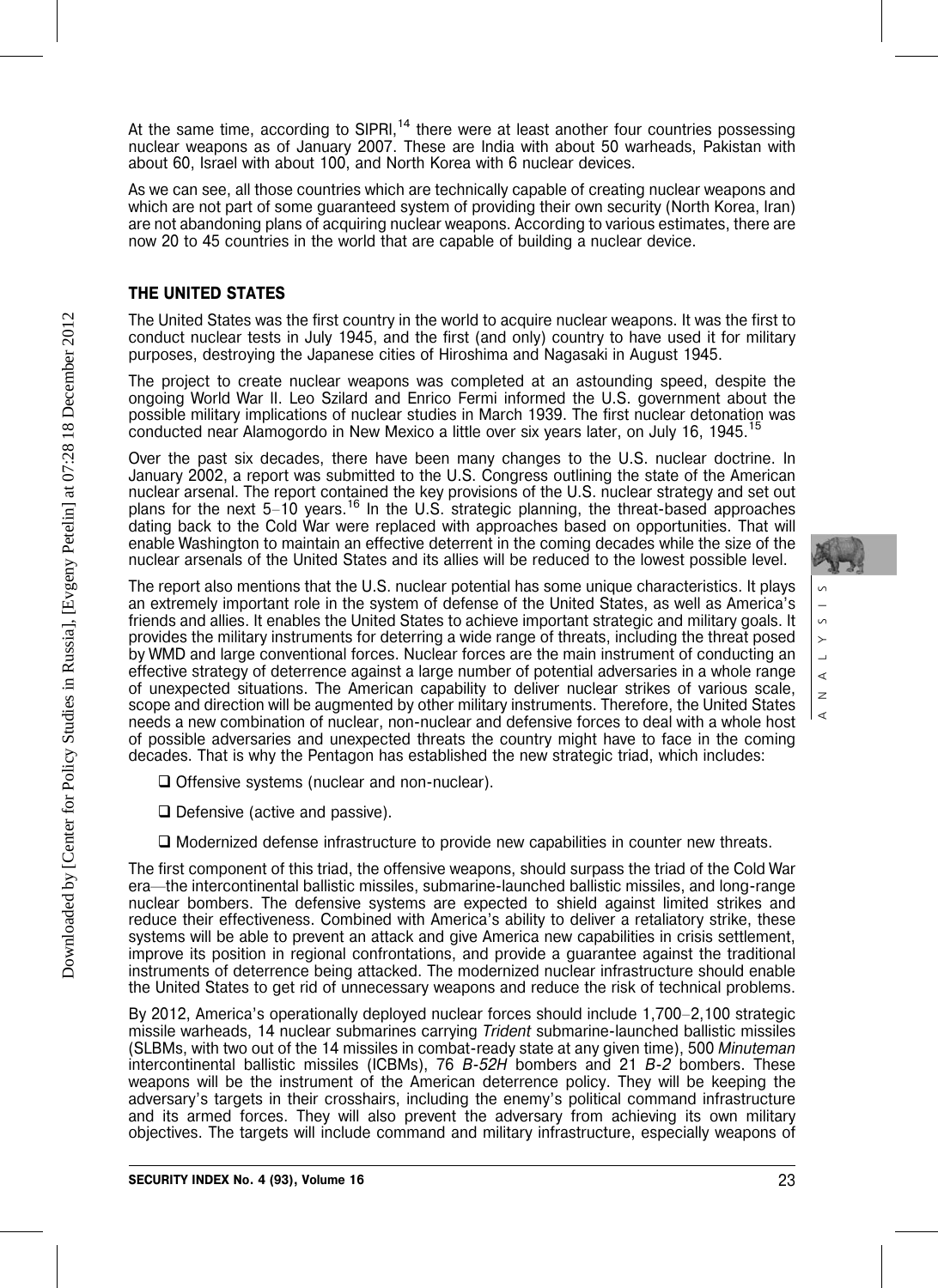At the same time, according to SIPRI,<sup>14</sup> there were at least another four countries possessing nuclear weapons as of January 2007. These are India with about 50 warheads, Pakistan with about 60, Israel with about 100, and North Korea with 6 nuclear devices.

As we can see, all those countries which are technically capable of creating nuclear weapons and which are not part of some guaranteed system of providing their own security (North Korea, Iran) are not abandoning plans of acquiring nuclear weapons. According to various estimates, there are now 20 to 45 countries in the world that are capable of building a nuclear device.

#### THE UNITED STATES

The United States was the first country in the world to acquire nuclear weapons. It was the first to conduct nuclear tests in July 1945, and the first (and only) country to have used it for military purposes, destroying the Japanese cities of Hiroshima and Nagasaki in August 1945.

The project to create nuclear weapons was completed at an astounding speed, despite the ongoing World War II. Leo Szilard and Enrico Fermi informed the U.S. government about the possible military implications of nuclear studies in March 1939. The first nuclear detonation was conducted near Alamogordo in New Mexico a little over six years later, on July 16, 1945.<sup>15</sup>

Over the past six decades, there have been many changes to the U.S. nuclear doctrine. In January 2002, a report was submitted to the U.S. Congress outlining the state of the American nuclear arsenal. The report contained the key provisions of the U.S. nuclear strategy and set out plans for the next 5-10 years.<sup>16</sup> In the U.S. strategic planning, the threat-based approaches dating back to the Cold War were replaced with approaches based on opportunities. That will enable Washington to maintain an effective deterrent in the coming decades while the size of the nuclear arsenals of the United States and its allies will be reduced to the lowest possible level.

The report also mentions that the U.S. nuclear potential has some unique characteristics. It plays an extremely important role in the system of defense of the United States, as well as America's friends and allies. It enables the United States to achieve important strategic and military goals. It provides the military instruments for deterring a wide range of threats, including the threat posed by WMD and large conventional forces. Nuclear forces are the main instrument of conducting an effective strategy of deterrence against a large number of potential adversaries in a whole range of unexpected situations. The American capability to deliver nuclear strikes of various scale, scope and direction will be augmented by other military instruments. Therefore, the United States needs a new combination of nuclear, non-nuclear and defensive forces to deal with a whole host of possible adversaries and unexpected threats the country might have to face in the coming decades. That is why the Pentagon has established the new strategic triad, which includes:

- $\Box$  Offensive systems (nuclear and non-nuclear).
- $\Box$  Defensive (active and passive).
- $\Box$  Modernized defense infrastructure to provide new capabilities in counter new threats.

The first component of this triad, the offensive weapons, should surpass the triad of the Cold War era\*the intercontinental ballistic missiles, submarine-launched ballistic missiles, and long-range nuclear bombers. The defensive systems are expected to shield against limited strikes and reduce their effectiveness. Combined with America's ability to deliver a retaliatory strike, these systems will be able to prevent an attack and give America new capabilities in crisis settlement, improve its position in regional confrontations, and provide a guarantee against the traditional instruments of deterrence being attacked. The modernized nuclear infrastructure should enable the United States to get rid of unnecessary weapons and reduce the risk of technical problems.

By 2012, America's operationally deployed nuclear forces should include 1,700-2,100 strategic missile warheads, 14 nuclear submarines carrying Trident submarine-launched ballistic missiles (SLBMs, with two out of the 14 missiles in combat-ready state at any given time), 500 Minuteman intercontinental ballistic missiles (ICBMs), 76 B-52H bombers and 21 B-2 bombers. These weapons will be the instrument of the American deterrence policy. They will be keeping the adversary's targets in their crosshairs, including the enemy's political command infrastructure and its armed forces. They will also prevent the adversary from achieving its own military objectives. The targets will include command and military infrastructure, especially weapons of



ANALYSIS

 $\circ$  $\circ$  $\rightarrow$  $\overline{\phantom{a}}$  $\prec$  $\overline{z}$  $\prec$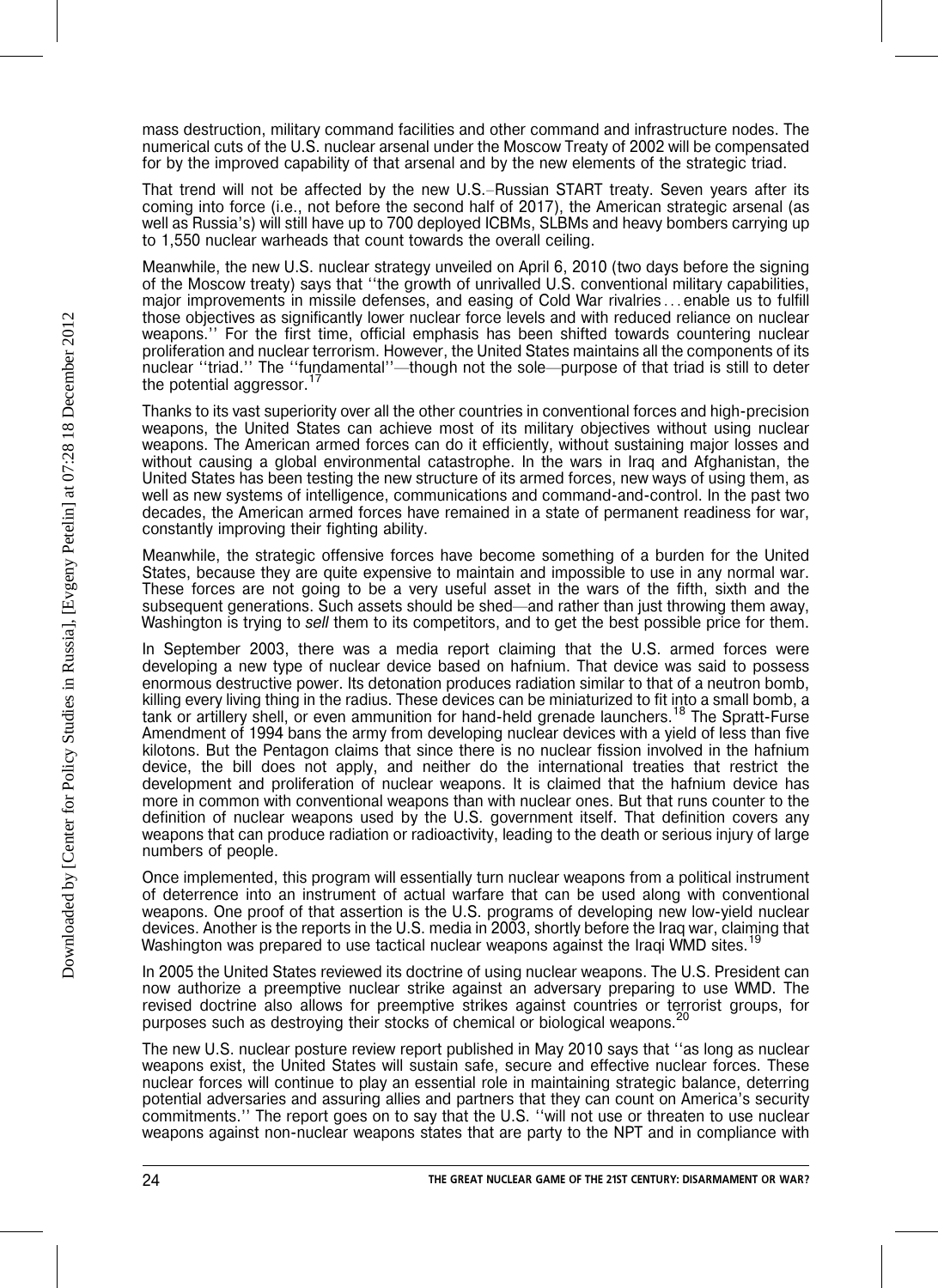mass destruction, military command facilities and other command and infrastructure nodes. The numerical cuts of the U.S. nuclear arsenal under the Moscow Treaty of 2002 will be compensated for by the improved capability of that arsenal and by the new elements of the strategic triad.

That trend will not be affected by the new U.S.-Russian START treaty. Seven years after its coming into force (i.e., not before the second half of 2017), the American strategic arsenal (as well as Russia's) will still have up to 700 deployed ICBMs, SLBMs and heavy bombers carrying up to 1,550 nuclear warheads that count towards the overall ceiling.

Meanwhile, the new U.S. nuclear strategy unveiled on April 6, 2010 (two days before the signing of the Moscow treaty) says that ''the growth of unrivalled U.S. conventional military capabilities, major improvements in missile defenses, and easing of Cold War rivalries ... enable us to fulfill those objectives as significantly lower nuclear force levels and with reduced reliance on nuclear weapons.'' For the first time, official emphasis has been shifted towards countering nuclear proliferation and nuclear terrorism. However, the United States maintains all the components of its nuclear "triad." The "fundamental"-though not the sole-purpose of that triad is still to deter the potential aggressor. $<sup>1</sup>$ </sup>

Thanks to its vast superiority over all the other countries in conventional forces and high-precision weapons, the United States can achieve most of its military objectives without using nuclear weapons. The American armed forces can do it efficiently, without sustaining major losses and without causing a global environmental catastrophe. In the wars in Iraq and Afghanistan, the United States has been testing the new structure of its armed forces, new ways of using them, as well as new systems of intelligence, communications and command-and-control. In the past two decades, the American armed forces have remained in a state of permanent readiness for war, constantly improving their fighting ability.

Meanwhile, the strategic offensive forces have become something of a burden for the United States, because they are quite expensive to maintain and impossible to use in any normal war. These forces are not going to be a very useful asset in the wars of the fifth, sixth and the subsequent generations. Such assets should be shed—and rather than just throwing them away, Washington is trying to sell them to its competitors, and to get the best possible price for them.

In September 2003, there was a media report claiming that the U.S. armed forces were developing a new type of nuclear device based on hafnium. That device was said to possess enormous destructive power. Its detonation produces radiation similar to that of a neutron bomb, killing every living thing in the radius. These devices can be miniaturized to fit into a small bomb, a tank or artillery shell, or even ammunition for hand-held grenade launchers.<sup>18</sup> The Spratt-Furse Amendment of 1994 bans the army from developing nuclear devices with a yield of less than five kilotons. But the Pentagon claims that since there is no nuclear fission involved in the hafnium device, the bill does not apply, and neither do the international treaties that restrict the development and proliferation of nuclear weapons. It is claimed that the hafnium device has more in common with conventional weapons than with nuclear ones. But that runs counter to the definition of nuclear weapons used by the U.S. government itself. That definition covers any weapons that can produce radiation or radioactivity, leading to the death or serious injury of large numbers of people.

Once implemented, this program will essentially turn nuclear weapons from a political instrument of deterrence into an instrument of actual warfare that can be used along with conventional weapons. One proof of that assertion is the U.S. programs of developing new low-yield nuclear devices. Another is the reports in the U.S. media in 2003, shortly before the Iraq war, claiming that Washington was prepared to use tactical nuclear weapons against the Iraqi WMD sites.

In 2005 the United States reviewed its doctrine of using nuclear weapons. The U.S. President can now authorize a preemptive nuclear strike against an adversary preparing to use WMD. The revised doctrine also allows for preemptive strikes against countries or terrorist groups, for purposes such as destroying their stocks of chemical or biological weapons.<sup>20</sup>

The new U.S. nuclear posture review report published in May 2010 says that ''as long as nuclear weapons exist, the United States will sustain safe, secure and effective nuclear forces. These nuclear forces will continue to play an essential role in maintaining strategic balance, deterring potential adversaries and assuring allies and partners that they can count on America's security commitments.'' The report goes on to say that the U.S. ''will not use or threaten to use nuclear weapons against non-nuclear weapons states that are party to the NPT and in compliance with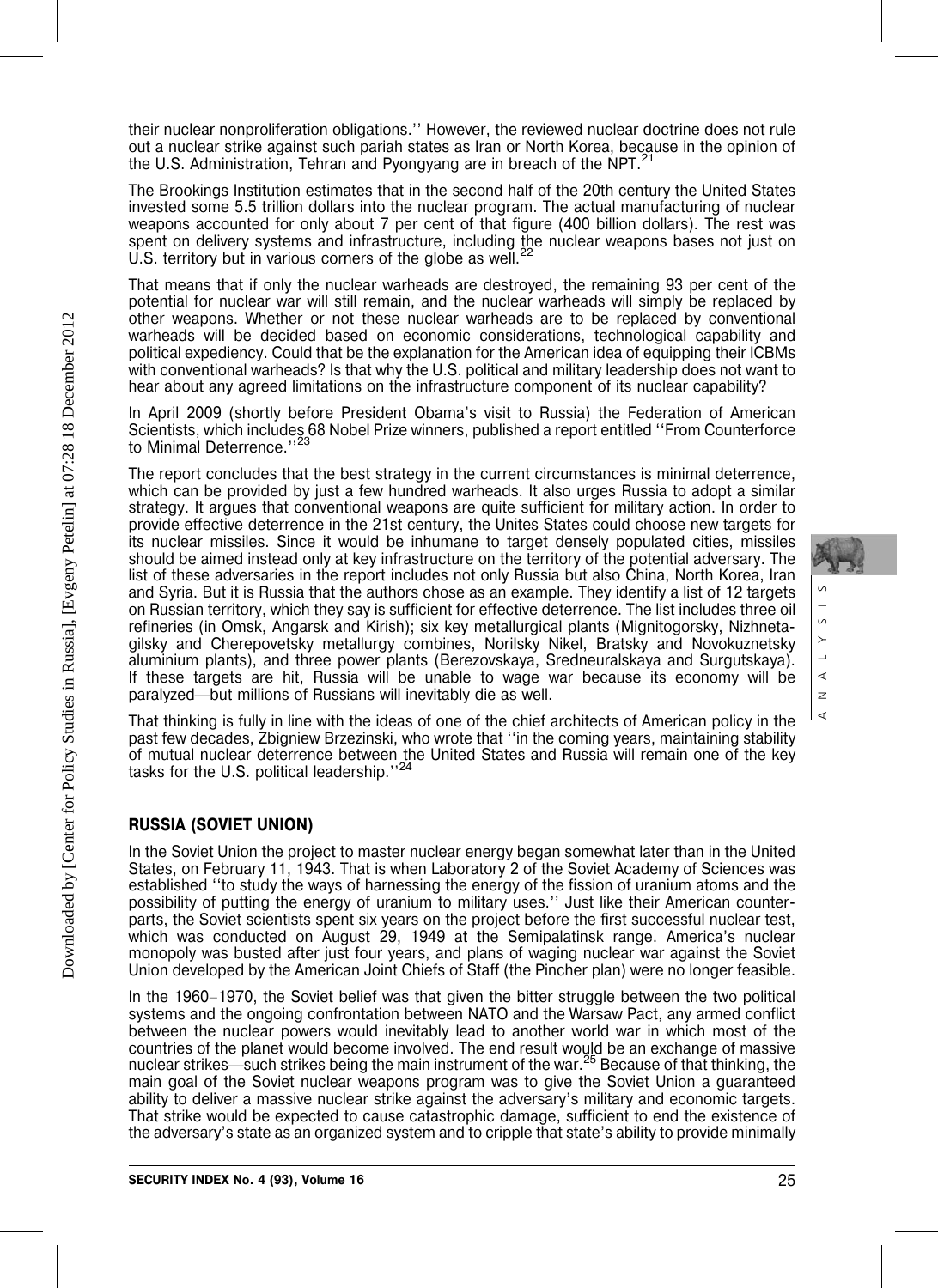their nuclear nonproliferation obligations.'' However, the reviewed nuclear doctrine does not rule out a nuclear strike against such pariah states as Iran or North Korea, because in the opinion of<br>the U.S. Administration, Tehran and Pyongyang are in breach of the NPT.<sup>21</sup>

The Brookings Institution estimates that in the second half of the 20th century the United States invested some 5.5 trillion dollars into the nuclear program. The actual manufacturing of nuclear weapons accounted for only about 7 per cent of that figure (400 billion dollars). The rest was spent on delivery systems and infrastructure, including the nuclear weapons bases not just on<br>U.S. territory but in various corners of the globe as well.<sup>22</sup>

That means that if only the nuclear warheads are destroyed, the remaining 93 per cent of the potential for nuclear war will still remain, and the nuclear warheads will simply be replaced by other weapons. Whether or not these nuclear warheads are to be replaced by conventional warheads will be decided based on economic considerations, technological capability and political expediency. Could that be the explanation for the American idea of equipping their ICBMs with conventional warheads? Is that why the U.S. political and military leadership does not want to hear about any agreed limitations on the infrastructure component of its nuclear capability?

In April 2009 (shortly before President Obama's visit to Russia) the Federation of American Scientists, which includes 68 Nobel Prize winners, published a report entitled ''From Counterforce<br>to Minimal Deterrence.''<sup>23</sup>

The report concludes that the best strategy in the current circumstances is minimal deterrence, which can be provided by just a few hundred warheads. It also urges Russia to adopt a similar strategy. It argues that conventional weapons are quite sufficient for military action. In order to provide effective deterrence in the 21st century, the Unites States could choose new targets for its nuclear missiles. Since it would be inhumane to target densely populated cities, missiles should be aimed instead only at key infrastructure on the territory of the potential adversary. The list of these adversaries in the report includes not only Russia but also China, North Korea, Iran and Syria. But it is Russia that the authors chose as an example. They identify a list of 12 targets on Russian territory, which they say is sufficient for effective deterrence. The list includes three oil refineries (in Omsk, Angarsk and Kirish); six key metallurgical plants (Mignitogorsky, Nizhnetagilsky and Cherepovetsky metallurgy combines, Norilsky Nikel, Bratsky and Novokuznetsky aluminium plants), and three power plants (Berezovskaya, Sredneuralskaya and Surgutskaya). If these targets are hit, Russia will be unable to wage war because its economy will be paralyzed—but millions of Russians will inevitably die as well.

That thinking is fully in line with the ideas of one of the chief architects of American policy in the past few decades, Zbigniew Brzezinski, who wrote that ''in the coming years, maintaining stability of mutual nuclear deterrence between the United States and Russia will remain one of the key<br>tasks for the U.S. political leadership.''<sup>24</sup>

#### RUSSIA (SOVIET UNION)

In the Soviet Union the project to master nuclear energy began somewhat later than in the United States, on February 11, 1943. That is when Laboratory 2 of the Soviet Academy of Sciences was established ''to study the ways of harnessing the energy of the fission of uranium atoms and the possibility of putting the energy of uranium to military uses.'' Just like their American counterparts, the Soviet scientists spent six years on the project before the first successful nuclear test, which was conducted on August 29, 1949 at the Semipalatinsk range. America's nuclear monopoly was busted after just four years, and plans of waging nuclear war against the Soviet Union developed by the American Joint Chiefs of Staff (the Pincher plan) were no longer feasible.

In the 1960-1970, the Soviet belief was that given the bitter struggle between the two political systems and the ongoing confrontation between NATO and the Warsaw Pact, any armed conflict between the nuclear powers would inevitably lead to another world war in which most of the countries of the planet would become involved. The end result would be an exchange of massive<br>nuclear strikes—such strikes being the main instrument of the war.<sup>25</sup> Because of that thinking, the main goal of the Soviet nuclear weapons program was to give the Soviet Union a guaranteed ability to deliver a massive nuclear strike against the adversary's military and economic targets. That strike would be expected to cause catastrophic damage, sufficient to end the existence of the adversary's state as an organized system and to cripple that state's ability to provide minimally ANALYSIS

S  $\rightarrow$  $\overline{\phantom{0}}$  $\prec$  $\overline{z}$  $\prec$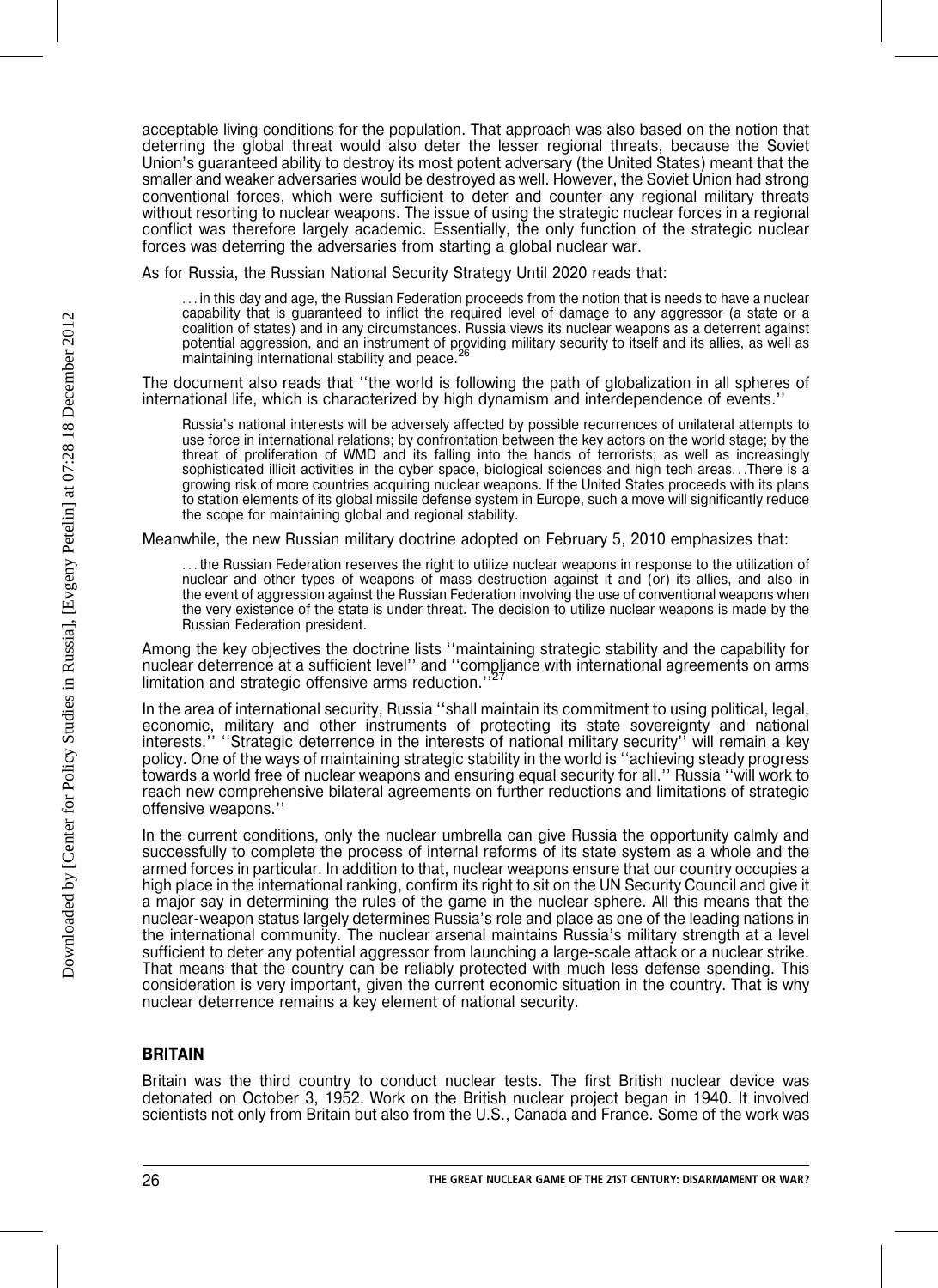acceptable living conditions for the population. That approach was also based on the notion that deterring the global threat would also deter the lesser regional threats, because the Soviet Union's guaranteed ability to destroy its most potent adversary (the United States) meant that the smaller and weaker adversaries would be destroyed as well. However, the Soviet Union had strong conventional forces, which were sufficient to deter and counter any regional military threats without resorting to nuclear weapons. The issue of using the strategic nuclear forces in a regional conflict was therefore largely academic. Essentially, the only function of the strategic nuclear forces was deterring the adversaries from starting a global nuclear war.

As for Russia, the Russian National Security Strategy Until 2020 reads that:

... in this day and age, the Russian Federation proceeds from the notion that is needs to have a nuclear capability that is guaranteed to inflict the required level of damage to any aggressor (a state or a coalition of states) and in any circumstances. Russia views its nuclear weapons as a deterrent against potential aggression, and an instrument of providing military security to itself and its allies, as well as maintaining international stability and peace.

The document also reads that ''the world is following the path of globalization in all spheres of international life, which is characterized by high dynamism and interdependence of events.''

Russia's national interests will be adversely affected by possible recurrences of unilateral attempts to use force in international relations; by confrontation between the key actors on the world stage; by the threat of proliferation of WMD and its falling into the hands of terrorists; as well as increasingly sophisticated illicit activities in the cyber space, biological sciences and high tech areas...There is a growing risk of more countries acquiring nuclear weapons. If the United States proceeds with its plans to station elements of its global missile defense system in Europe, such a move will significantly reduce the scope for maintaining global and regional stability.

Meanwhile, the new Russian military doctrine adopted on February 5, 2010 emphasizes that:

... the Russian Federation reserves the right to utilize nuclear weapons in response to the utilization of nuclear and other types of weapons of mass destruction against it and (or) its allies, and also in the event of aggression against the Russian Federation involving the use of conventional weapons when the very existence of the state is under threat. The decision to utilize nuclear weapons is made by the Russian Federation president.

Among the key objectives the doctrine lists ''maintaining strategic stability and the capability for nuclear deterrence at a sufficient level'' and ''com<u>pl</u>iance with international agreements on arms<br>limitation and strategic offensive arms reduction.''<sup>27</sup>

In the area of international security, Russia ''shall maintain its commitment to using political, legal, economic, military and other instruments of protecting its state sovereignty and national interests.'' ''Strategic deterrence in the interests of national military security'' will remain a key policy. One of the ways of maintaining strategic stability in the world is ''achieving steady progress towards a world free of nuclear weapons and ensuring equal security for all.'' Russia ''will work to reach new comprehensive bilateral agreements on further reductions and limitations of strategic offensive weapons.''

In the current conditions, only the nuclear umbrella can give Russia the opportunity calmly and successfully to complete the process of internal reforms of its state system as a whole and the armed forces in particular. In addition to that, nuclear weapons ensure that our country occupies a high place in the international ranking, confirm its right to sit on the UN Security Council and give it a major say in determining the rules of the game in the nuclear sphere. All this means that the nuclear-weapon status largely determines Russia's role and place as one of the leading nations in the international community. The nuclear arsenal maintains Russia's military strength at a level sufficient to deter any potential aggressor from launching a large-scale attack or a nuclear strike. That means that the country can be reliably protected with much less defense spending. This consideration is very important, given the current economic situation in the country. That is why nuclear deterrence remains a key element of national security.

#### **BRITAIN**

Britain was the third country to conduct nuclear tests. The first British nuclear device was detonated on October 3, 1952. Work on the British nuclear project began in 1940. It involved scientists not only from Britain but also from the U.S., Canada and France. Some of the work was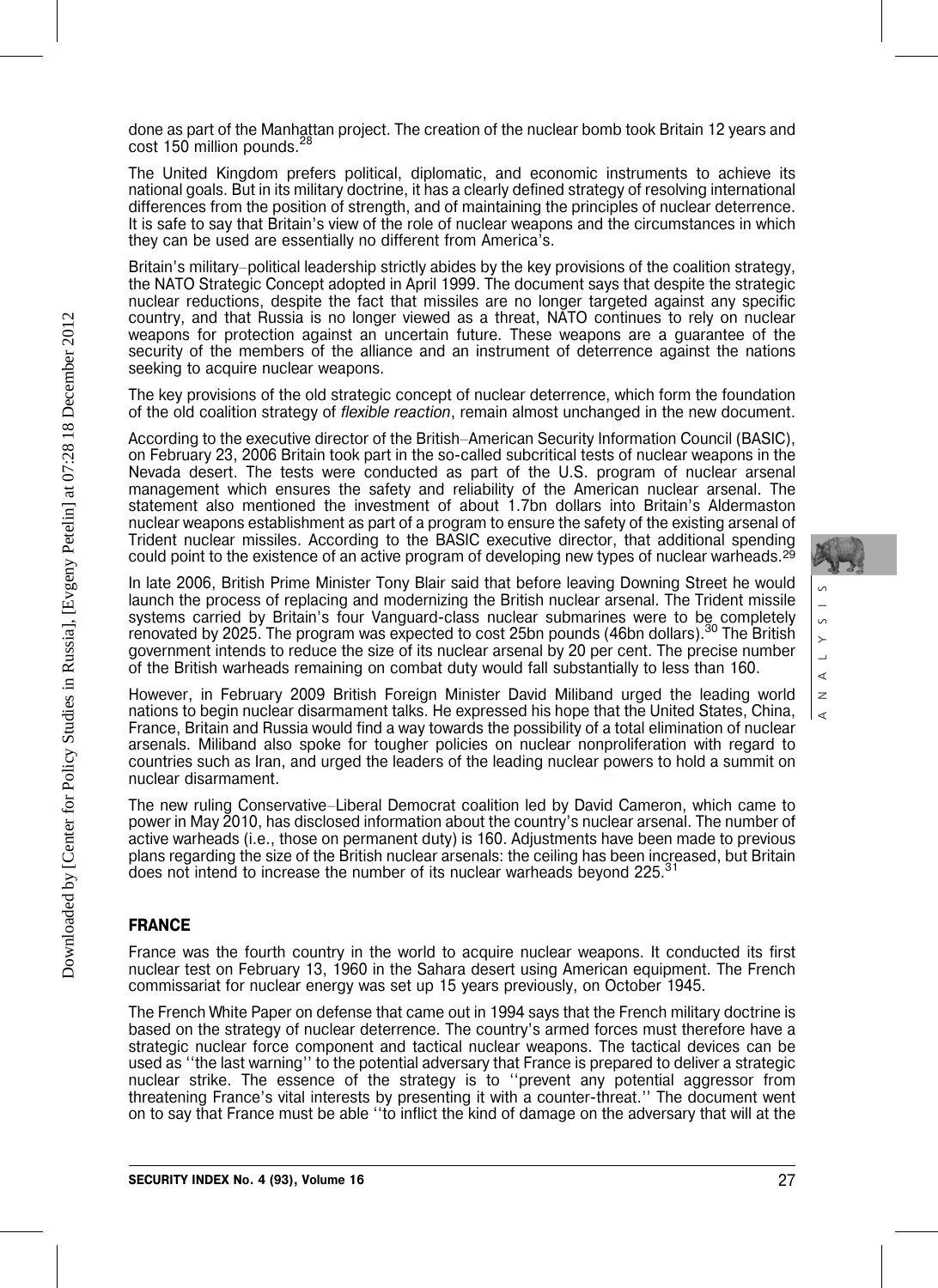Downloaded by [Center for Policy Studies in Russia], [Evgeny Petelin] at 07:28 18 December 2012 Downloaded by [Center for Policy Studies in Russia], [Evgeny Petelin] at 07:28 18 December 2012 done as part of the Manhattan project. The creation of the nuclear bomb took Britain 12 years and cost 150 million pounds.

The United Kingdom prefers political, diplomatic, and economic instruments to achieve its national goals. But in its military doctrine, it has a clearly defined strategy of resolving international differences from the position of strength, and of maintaining the principles of nuclear deterrence. It is safe to say that Britain's view of the role of nuclear weapons and the circumstances in which they can be used are essentially no different from America's.

Britain's military-political leadership strictly abides by the key provisions of the coalition strategy, the NATO Strategic Concept adopted in April 1999. The document says that despite the strategic nuclear reductions, despite the fact that missiles are no longer targeted against any specific country, and that Russia is no longer viewed as a threat, NATO continues to rely on nuclear weapons for protection against an uncertain future. These weapons are a guarantee of the security of the members of the alliance and an instrument of deterrence against the nations seeking to acquire nuclear weapons.

The key provisions of the old strategic concept of nuclear deterrence, which form the foundation of the old coalition strategy of flexible reaction, remain almost unchanged in the new document.

According to the executive director of the British-American Security Information Council (BASIC), on February 23, 2006 Britain took part in the so-called subcritical tests of nuclear weapons in the Nevada desert. The tests were conducted as part of the U.S. program of nuclear arsenal management which ensures the safety and reliability of the American nuclear arsenal. The statement also mentioned the investment of about 1.7bn dollars into Britain's Aldermaston nuclear weapons establishment as part of a program to ensure the safety of the existing arsenal of Trident nuclear missiles. According to the BASIC executive director, that additional spending could point to the existence of an active program of developing new types of nuclear warheads.29

In late 2006, British Prime Minister Tony Blair said that before leaving Downing Street he would launch the process of replacing and modernizing the British nuclear arsenal. The Trident missile systems carried by Britain's four Vanguard-class nuclear submarines were to be completely<br>renovated by 2025. The program was expected to cost 25bn pounds (46bn dollars).<sup>30</sup> The British government intends to reduce the size of its nuclear arsenal by 20 per cent. The precise number of the British warheads remaining on combat duty would fall substantially to less than 160.

However, in February 2009 British Foreign Minister David Miliband urged the leading world nations to begin nuclear disarmament talks. He expressed his hope that the United States, China, France, Britain and Russia would find a way towards the possibility of a total elimination of nuclear arsenals. Miliband also spoke for tougher policies on nuclear nonproliferation with regard to countries such as Iran, and urged the leaders of the leading nuclear powers to hold a summit on nuclear disarmament.

The new ruling Conservative–Liberal Democrat coalition led by David Cameron, which came to power in May 2010, has disclosed information about the country's nuclear arsenal. The number of active warheads (i.e., those on permanent duty) is 160. Adjustments have been made to previous plans regarding the size of the British nuclear arsenals: the ceiling has been increased, but Britain does not intend to increase the number of its nuclear warheads beyond 225.

## FRANCE

France was the fourth country in the world to acquire nuclear weapons. It conducted its first nuclear test on February 13, 1960 in the Sahara desert using American equipment. The French commissariat for nuclear energy was set up 15 years previously, on October 1945.

The French White Paper on defense that came out in 1994 says that the French military doctrine is based on the strategy of nuclear deterrence. The country's armed forces must therefore have a strategic nuclear force component and tactical nuclear weapons. The tactical devices can be used as ''the last warning'' to the potential adversary that France is prepared to deliver a strategic nuclear strike. The essence of the strategy is to ''prevent any potential aggressor from threatening France's vital interests by presenting it with a counter-threat.'' The document went on to say that France must be able ''to inflict the kind of damage on the adversary that will at the



ANALYSIS

 $\circ$  $\rightarrow$  $\overline{\phantom{a}}$  $\prec$  $\overline{z}$ | ⊲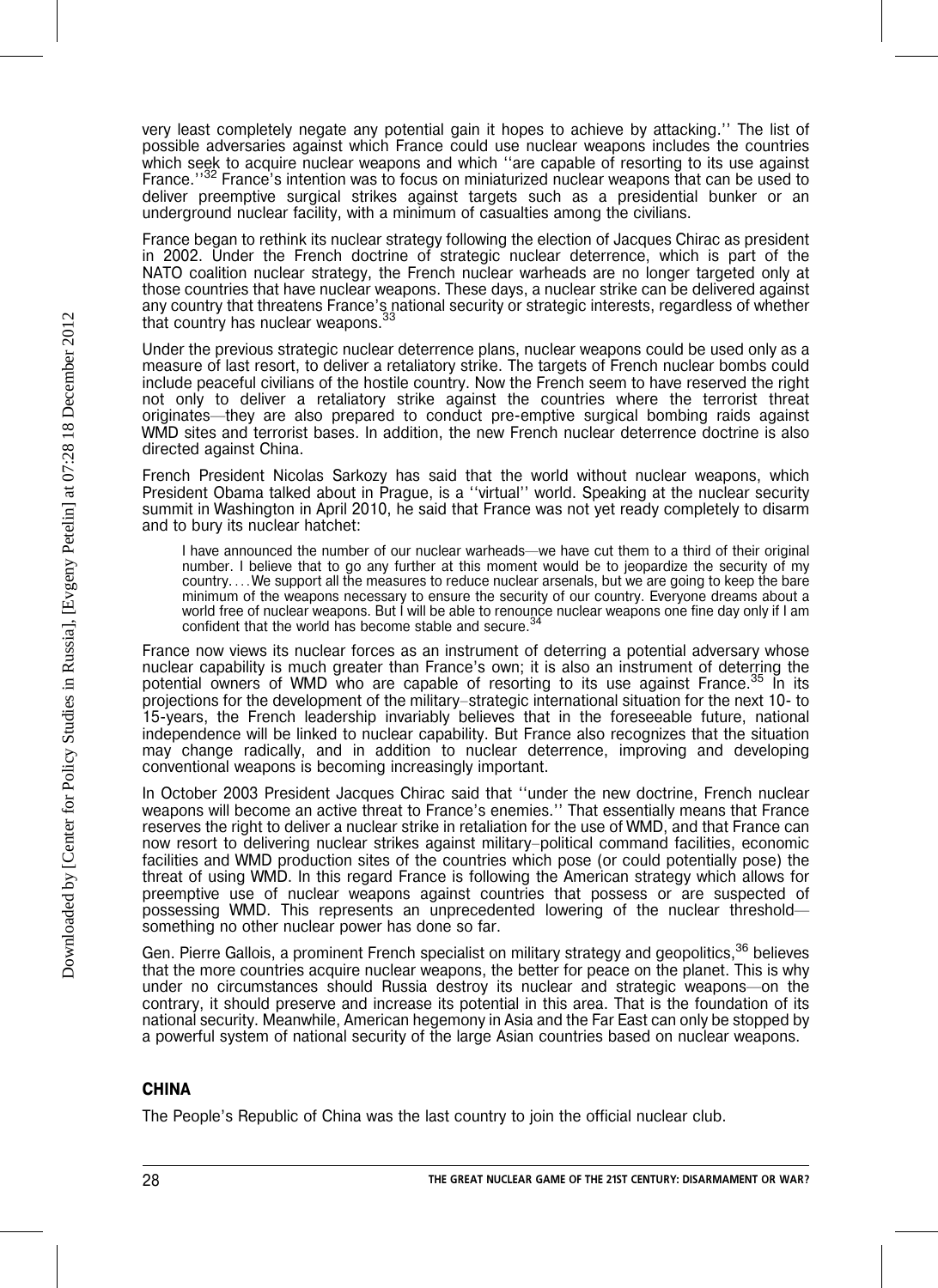very least completely negate any potential gain it hopes to achieve by attacking.'' The list of possible adversaries against which France could use nuclear weapons includes the countries which seek to acquire nuclear weapons and which ''are capable of resorting to its use against France."<sup>32</sup> France's intention was to focus on miniaturized nuclear weapons that can be used to deliver preemptive surgical strikes against targets such as a presidential bunker or an underground nuclear facility, with a minimum of casualties among the civilians.

France began to rethink its nuclear strategy following the election of Jacques Chirac as president in 2002. Under the French doctrine of strategic nuclear deterrence, which is part of the NATO coalition nuclear strategy, the French nuclear warheads are no longer targeted only at those countries that have nuclear weapons. These days, a nuclear strike can be delivered against any country that threatens France's national security or strategic interests, regardless of whether that country has nuclear weapons.

Under the previous strategic nuclear deterrence plans, nuclear weapons could be used only as a measure of last resort, to deliver a retaliatory strike. The targets of French nuclear bombs could include peaceful civilians of the hostile country. Now the French seem to have reserved the right not only to deliver a retaliatory strike against the countries where the terrorist threat originates—they are also prepared to conduct pre-emptive surgical bombing raids against WMD sites and terrorist bases. In addition, the new French nuclear deterrence doctrine is also directed against China.

French President Nicolas Sarkozy has said that the world without nuclear weapons, which President Obama talked about in Prague, is a ''virtual'' world. Speaking at the nuclear security summit in Washington in April 2010, he said that France was not yet ready completely to disarm and to bury its nuclear hatchet:

I have announced the number of our nuclear warheads—we have cut them to a third of their original number. I believe that to go any further at this moment would be to jeopardize the security of my country. ... We support all the measures to reduce nuclear arsenals, but we are going to keep the bare minimum of the weapons necessary to ensure the security of our country. Everyone dreams about a world free of nuclear weapons. But I will be able to renounce nuclear weapons one fine day only if I am confident that the world has become stable and secure.

France now views its nuclear forces as an instrument of deterring a potential adversary whose nuclear capability is much greater than France's own; it is also an instrument of deterring the potential owners of WMD who are capable of resorting to its use against France.<sup>35</sup> In its projections for the development of the military-strategic international situation for the next 10- to 15-years, the French leadership invariably believes that in the foreseeable future, national independence will be linked to nuclear capability. But France also recognizes that the situation may change radically, and in addition to nuclear deterrence, improving and developing conventional weapons is becoming increasingly important.

In October 2003 President Jacques Chirac said that ''under the new doctrine, French nuclear weapons will become an active threat to France's enemies.'' That essentially means that France reserves the right to deliver a nuclear strike in retaliation for the use of WMD, and that France can now resort to delivering nuclear strikes against military-political command facilities, economic facilities and WMD production sites of the countries which pose (or could potentially pose) the threat of using WMD. In this regard France is following the American strategy which allows for preemptive use of nuclear weapons against countries that possess or are suspected of possessing WMD. This represents an unprecedented lowering of the nuclear threshold\* something no other nuclear power has done so far.

Gen. Pierre Gallois, a prominent French specialist on military strategy and geopolitics,<sup>36</sup> believes that the more countries acquire nuclear weapons, the better for peace on the planet. This is why under no circumstances should Russia destroy its nuclear and strategic weapons-on the contrary, it should preserve and increase its potential in this area. That is the foundation of its national security. Meanwhile, American hegemony in Asia and the Far East can only be stopped by a powerful system of national security of the large Asian countries based on nuclear weapons.

#### **CHINA**

The People's Republic of China was the last country to join the official nuclear club.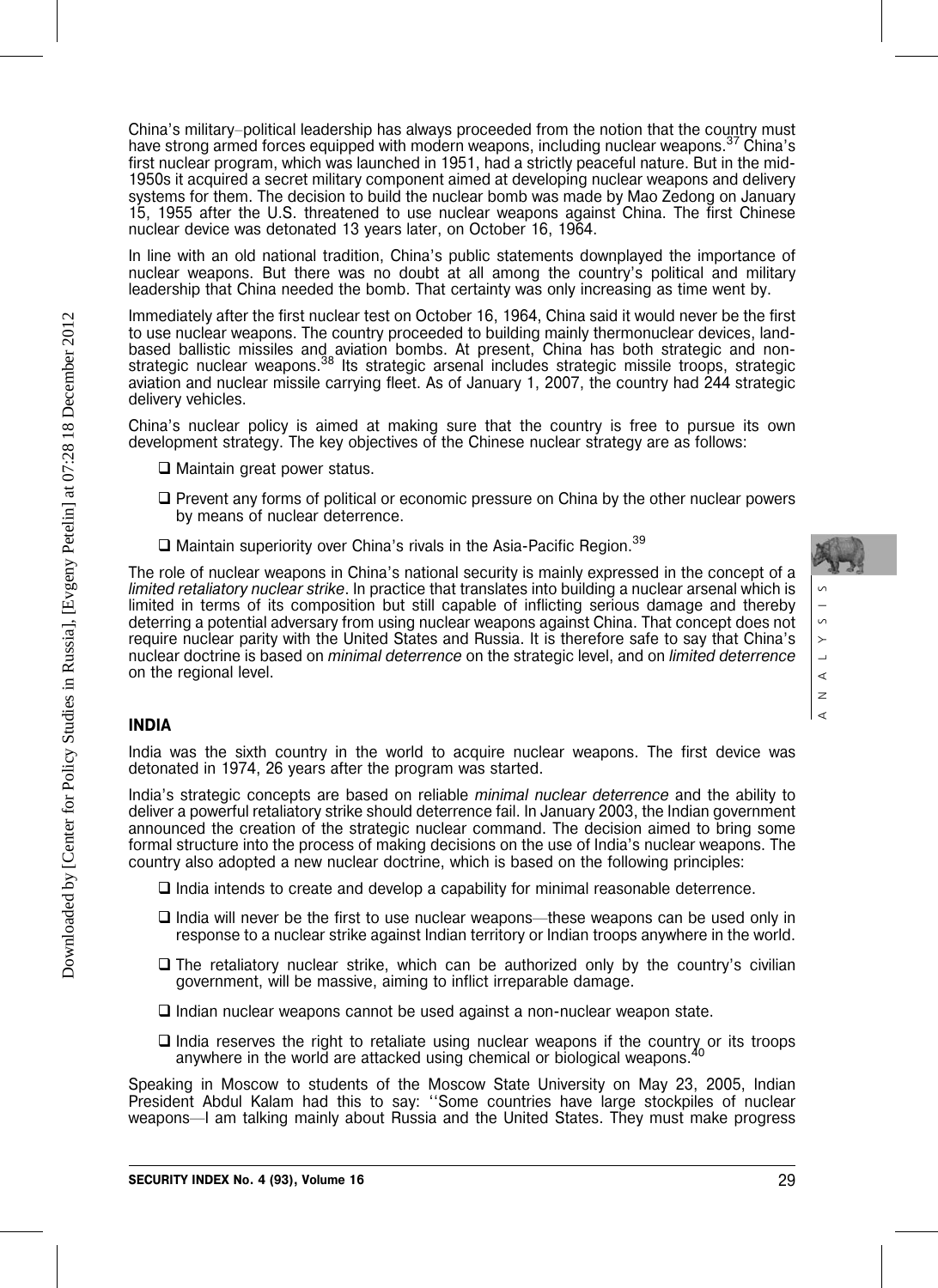China's military–political leadership has always proceeded from the notion that the country must have strong armed forces equipped with modern weapons, including nuclear weapons.<sup>37</sup> China's first nuclear program, which was launched in 1951, had a strictly peaceful nature. But in the mid-1950s it acquired a secret military component aimed at developing nuclear weapons and delivery systems for them. The decision to build the nuclear bomb was made by Mao Zedong on January 15, 1955 after the U.S. threatened to use nuclear weapons against China. The first Chinese nuclear device was detonated 13 years later, on October 16, 1964.

In line with an old national tradition, China's public statements downplayed the importance of nuclear weapons. But there was no doubt at all among the country's political and military leadership that China needed the bomb. That certainty was only increasing as time went by.

Immediately after the first nuclear test on October 16, 1964, China said it would never be the first to use nuclear weapons. The country proceeded to building mainly thermonuclear devices, landbased ballistic missiles and aviation bombs. At present, China has both strategic and nonstrategic nuclear weapons.<sup>38</sup> Its strategic arsenal includes strategic missile troops, strategic aviation and nuclear missile carrying fleet. As of January 1, 2007, the country had 244 strategic delivery vehicles.

China's nuclear policy is aimed at making sure that the country is free to pursue its own development strategy. The key objectives of the Chinese nuclear strategy are as follows:

- $\square$  Maintain great power status.
- $\square$  Prevent any forms of political or economic pressure on China by the other nuclear powers by means of nuclear deterrence.
- $\square$  Maintain superiority over China's rivals in the Asia-Pacific Region.<sup>39</sup>

The role of nuclear weapons in China's national security is mainly expressed in the concept of a limited retaliatory nuclear strike. In practice that translates into building a nuclear arsenal which is limited in terms of its composition but still capable of inflicting serious damage and thereby deterring a potential adversary from using nuclear weapons against China. That concept does not require nuclear parity with the United States and Russia. It is therefore safe to say that China's nuclear doctrine is based on minimal deterrence on the strategic level, and on limited deterrence on the regional level.

## INDIA

India was the sixth country in the world to acquire nuclear weapons. The first device was detonated in 1974, 26 years after the program was started.

India's strategic concepts are based on reliable minimal nuclear deterrence and the ability to deliver a powerful retaliatory strike should deterrence fail. In January 2003, the Indian government announced the creation of the strategic nuclear command. The decision aimed to bring some formal structure into the process of making decisions on the use of India's nuclear weapons. The country also adopted a new nuclear doctrine, which is based on the following principles:

- $\Box$  India intends to create and develop a capability for minimal reasonable deterrence.
- $\Box$  India will never be the first to use nuclear weapons—these weapons can be used only in response to a nuclear strike against Indian territory or Indian troops anywhere in the world.
- $\square$  The retaliatory nuclear strike, which can be authorized only by the country's civilian government, will be massive, aiming to inflict irreparable damage.
- $\Box$  Indian nuclear weapons cannot be used against a non-nuclear weapon state.
- $\Box$  India reserves the right to retaliate using nuclear weapons if the country or its troops anywhere in the world are attacked using chemical or biological weapons.<sup>40</sup>

Speaking in Moscow to students of the Moscow State University on May 23, 2005, Indian President Abdul Kalam had this to say: ''Some countries have large stockpiles of nuclear weapons—I am talking mainly about Russia and the United States. They must make progress

 $\circ$  $\rightarrow$  $\overline{\phantom{a}}$  $\prec$  $\overline{z}$  $\vert$   $\triangleleft$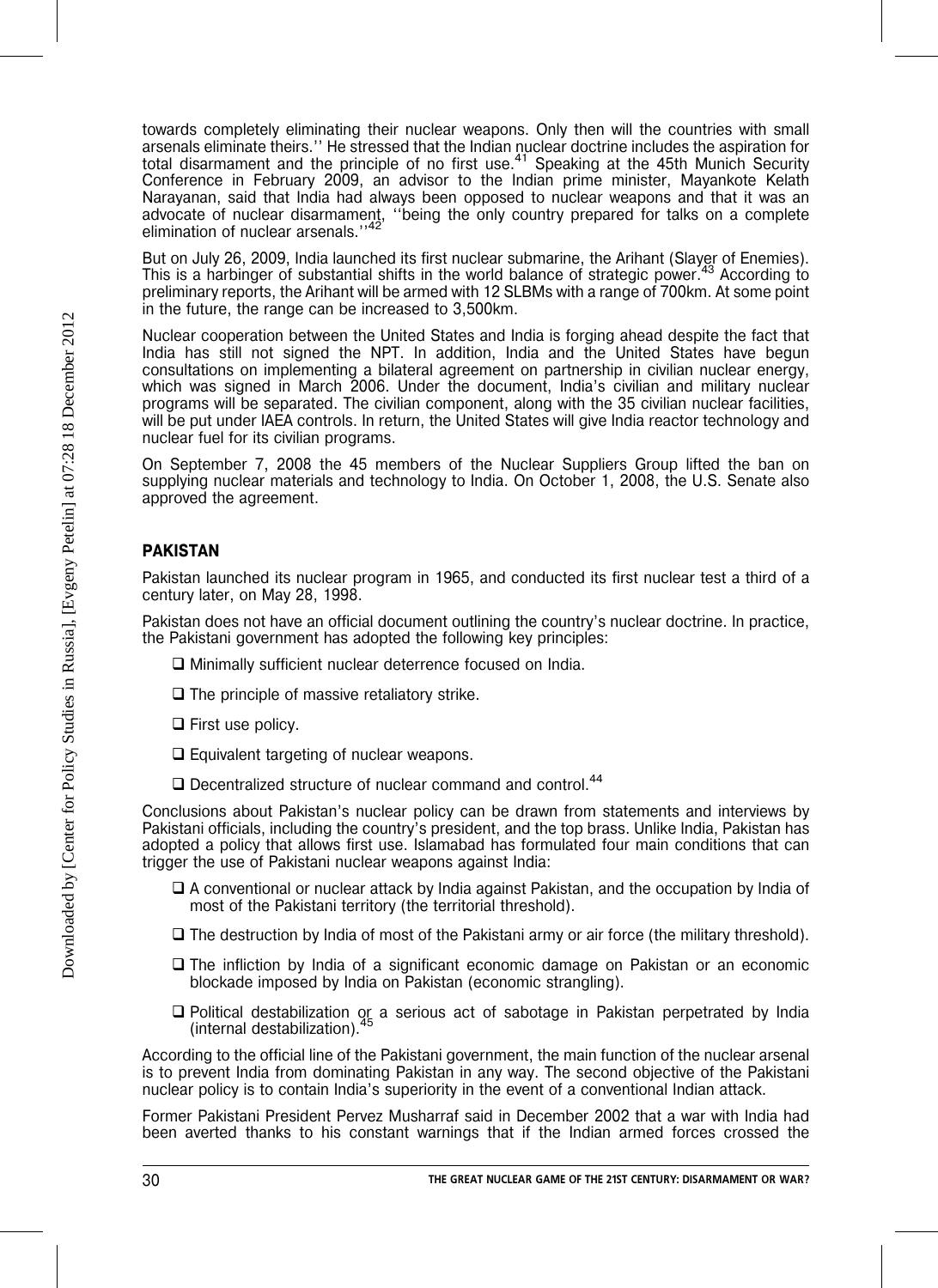towards completely eliminating their nuclear weapons. Only then will the countries with small arsenals eliminate theirs.'' He stressed that the Indian nuclear doctrine includes the aspiration for<br>total disarmament and the principle of no first use.<sup>41</sup> Speaking at the 45th Munich Security Conference in February 2009, an advisor to the Indian prime minister, Mayankote Kelath Narayanan, said that India had always been opposed to nuclear weapons and that it was an advocate of nuclear disarmament, ''being the only country prepared for talks on a complete<br>elimination of nuclear arsenals.''<sup>42</sup>

But on July 26, 2009, India launched its first nuclear submarine, the Arihant (Slayer of Enemies).<br>This is a harbinger of substantial shifts in the world balance of strategic power.<sup>43</sup> According to preliminary reports, the Arihant will be armed with 12 SLBMs with a range of 700km. At some point in the future, the range can be increased to 3,500km.

Nuclear cooperation between the United States and India is forging ahead despite the fact that India has still not signed the NPT. In addition, India and the United States have begun consultations on implementing a bilateral agreement on partnership in civilian nuclear energy, which was signed in March 2006. Under the document, India's civilian and military nuclear programs will be separated. The civilian component, along with the 35 civilian nuclear facilities, will be put under IAEA controls. In return, the United States will give India reactor technology and nuclear fuel for its civilian programs.

On September 7, 2008 the 45 members of the Nuclear Suppliers Group lifted the ban on supplying nuclear materials and technology to India. On October 1, 2008, the U.S. Senate also approved the agreement.

#### PAKISTAN

Pakistan launched its nuclear program in 1965, and conducted its first nuclear test a third of a century later, on May 28, 1998.

Pakistan does not have an official document outlining the country's nuclear doctrine. In practice, the Pakistani government has adopted the following key principles:

- $\square$  Minimally sufficient nuclear deterrence focused on India.
- $\square$  The principle of massive retaliatory strike.
- $\Box$  First use policy.
- $\Box$  Equivalent targeting of nuclear weapons.
- $\square$  Decentralized structure of nuclear command and control.<sup>44</sup>

Conclusions about Pakistan's nuclear policy can be drawn from statements and interviews by Pakistani officials, including the country's president, and the top brass. Unlike India, Pakistan has adopted a policy that allows first use. Islamabad has formulated four main conditions that can trigger the use of Pakistani nuclear weapons against India:

- $\Box$  A conventional or nuclear attack by India against Pakistan, and the occupation by India of most of the Pakistani territory (the territorial threshold).
- $\square$  The destruction by India of most of the Pakistani army or air force (the military threshold).
- $\square$  The infliction by India of a significant economic damage on Pakistan or an economic blockade imposed by India on Pakistan (economic strangling).
- $\square$  Political destabilization or a serious act of sabotage in Pakistan perpetrated by India (internal destabilization).<sup>45</sup>

According to the official line of the Pakistani government, the main function of the nuclear arsenal is to prevent India from dominating Pakistan in any way. The second objective of the Pakistani nuclear policy is to contain India's superiority in the event of a conventional Indian attack.

Former Pakistani President Pervez Musharraf said in December 2002 that a war with India had been averted thanks to his constant warnings that if the Indian armed forces crossed the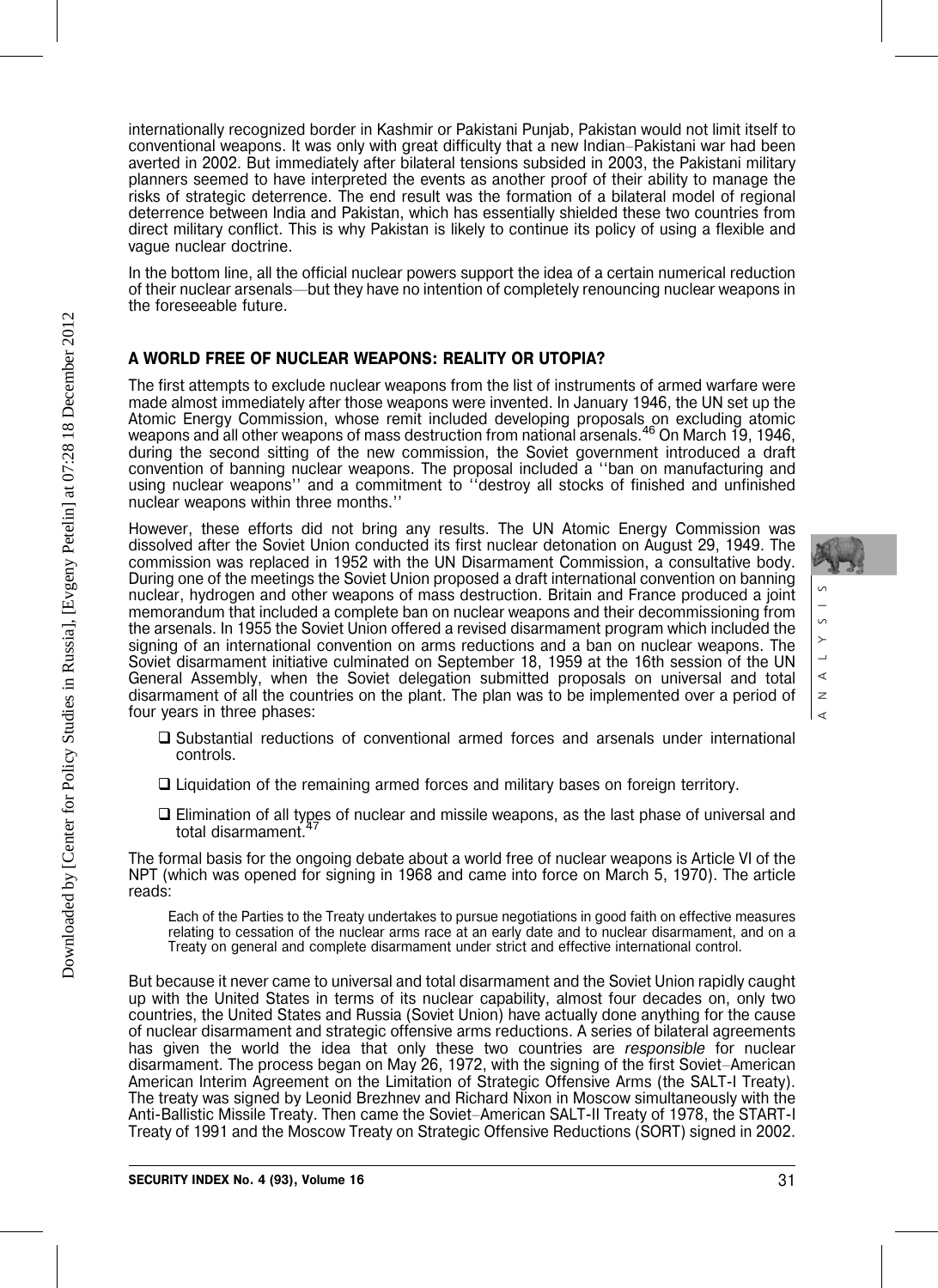internationally recognized border in Kashmir or Pakistani Punjab, Pakistan would not limit itself to conventional weapons. It was only with great difficulty that a new Indian-Pakistani war had been averted in 2002. But immediately after bilateral tensions subsided in 2003, the Pakistani military planners seemed to have interpreted the events as another proof of their ability to manage the risks of strategic deterrence. The end result was the formation of a bilateral model of regional deterrence between India and Pakistan, which has essentially shielded these two countries from direct military conflict. This is why Pakistan is likely to continue its policy of using a flexible and vague nuclear doctrine.

In the bottom line, all the official nuclear powers support the idea of a certain numerical reduction of their nuclear arsenals—but they have no intention of completely renouncing nuclear weapons in the foreseeable future.

#### A WORLD FREE OF NUCLEAR WEAPONS: REALITY OR UTOPIA?

The first attempts to exclude nuclear weapons from the list of instruments of armed warfare were made almost immediately after those weapons were invented. In January 1946, the UN set up the Atomic Energy Commission, whose remit included developing proposals on excluding atomic<br>weapons and all other weapons of mass destruction from national arsenals.<sup>46</sup> On March 19, 1946, during the second sitting of the new commission, the Soviet government introduced a draft convention of banning nuclear weapons. The proposal included a ''ban on manufacturing and using nuclear weapons'' and a commitment to ''destroy all stocks of finished and unfinished nuclear weapons within three months.''

However, these efforts did not bring any results. The UN Atomic Energy Commission was dissolved after the Soviet Union conducted its first nuclear detonation on August 29, 1949. The commission was replaced in 1952 with the UN Disarmament Commission, a consultative body. During one of the meetings the Soviet Union proposed a draft international convention on banning nuclear, hydrogen and other weapons of mass destruction. Britain and France produced a joint memorandum that included a complete ban on nuclear weapons and their decommissioning from the arsenals. In 1955 the Soviet Union offered a revised disarmament program which included the signing of an international convention on arms reductions and a ban on nuclear weapons. The Soviet disarmament initiative culminated on September 18, 1959 at the 16th session of the UN General Assembly, when the Soviet delegation submitted proposals on universal and total disarmament of all the countries on the plant. The plan was to be implemented over a period of four years in three phases:

- $\square$  Substantial reductions of conventional armed forces and arsenals under international controls.
- $\Box$  Liquidation of the remaining armed forces and military bases on foreign territory.
- $\Box$  Elimination of all types of nuclear and missile weapons, as the last phase of universal and total disarmament.

The formal basis for the ongoing debate about a world free of nuclear weapons is Article VI of the NPT (which was opened for signing in 1968 and came into force on March 5, 1970). The article reads:

Each of the Parties to the Treaty undertakes to pursue negotiations in good faith on effective measures relating to cessation of the nuclear arms race at an early date and to nuclear disarmament, and on a Treaty on general and complete disarmament under strict and effective international control.

But because it never came to universal and total disarmament and the Soviet Union rapidly caught up with the United States in terms of its nuclear capability, almost four decades on, only two countries, the United States and Russia (Soviet Union) have actually done anything for the cause of nuclear disarmament and strategic offensive arms reductions. A series of bilateral agreements has given the world the idea that only these two countries are responsible for nuclear disarmament. The process began on May 26, 1972, with the signing of the first Soviet-American American Interim Agreement on the Limitation of Strategic Offensive Arms (the SALT-I Treaty). The treaty was signed by Leonid Brezhnev and Richard Nixon in Moscow simultaneously with the Anti-Ballistic Missile Treaty. Then came the Soviet-American SALT-II Treaty of 1978, the START-I Treaty of 1991 and the Moscow Treaty on Strategic Offensive Reductions (SORT) signed in 2002. S  $\rightarrow$  $\overline{\phantom{a}}$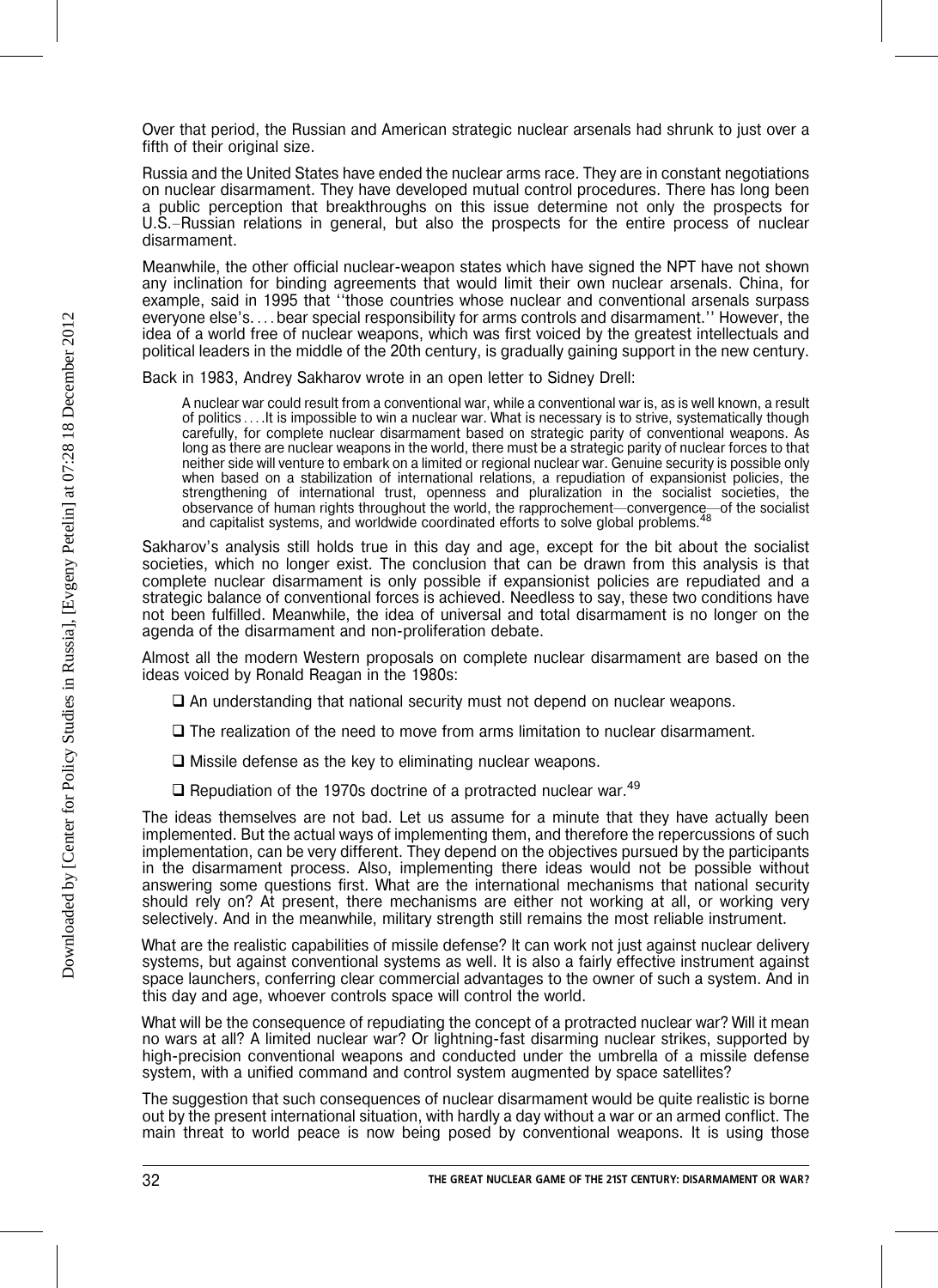Over that period, the Russian and American strategic nuclear arsenals had shrunk to just over a fifth of their original size.

Russia and the United States have ended the nuclear arms race. They are in constant negotiations on nuclear disarmament. They have developed mutual control procedures. There has long been a public perception that breakthroughs on this issue determine not only the prospects for U.S.-Russian relations in general, but also the prospects for the entire process of nuclear disarmament.

Meanwhile, the other official nuclear-weapon states which have signed the NPT have not shown any inclination for binding agreements that would limit their own nuclear arsenals. China, for example, said in 1995 that ''those countries whose nuclear and conventional arsenals surpass everyone else's. ... bear special responsibility for arms controls and disarmament.'' However, the idea of a world free of nuclear weapons, which was first voiced by the greatest intellectuals and political leaders in the middle of the 20th century, is gradually gaining support in the new century.

Back in 1983, Andrey Sakharov wrote in an open letter to Sidney Drell:

A nuclear war could result from a conventional war, while a conventional war is, as is well known, a result of politics ... .It is impossible to win a nuclear war. What is necessary is to strive, systematically though carefully, for complete nuclear disarmament based on strategic parity of conventional weapons. As long as there are nuclear weapons in the world, there must be a strategic parity of nuclear forces to that neither side will venture to embark on a limited or regional nuclear war. Genuine security is possible only when based on a stabilization of international relations, a repudiation of expansionist policies, the strengthening of international trust, openness and pluralization in the socialist societies, the observance of human rights throughout the world, the rapprochement—convergence—of the socialist<br>and capitalist systems, and worldwide coordinated efforts to solve global problems.<sup>48</sup>

Sakharov's analysis still holds true in this day and age, except for the bit about the socialist societies, which no longer exist. The conclusion that can be drawn from this analysis is that complete nuclear disarmament is only possible if expansionist policies are repudiated and a strategic balance of conventional forces is achieved. Needless to say, these two conditions have not been fulfilled. Meanwhile, the idea of universal and total disarmament is no longer on the agenda of the disarmament and non-proliferation debate.

Almost all the modern Western proposals on complete nuclear disarmament are based on the ideas voiced by Ronald Reagan in the 1980s:

- $\Box$  An understanding that national security must not depend on nuclear weapons.
- $\Box$  The realization of the need to move from arms limitation to nuclear disarmament.
- $\square$  Missile defense as the key to eliminating nuclear weapons.
- $\square$  Repudiation of the 1970s doctrine of a protracted nuclear war.<sup>49</sup>

The ideas themselves are not bad. Let us assume for a minute that they have actually been implemented. But the actual ways of implementing them, and therefore the repercussions of such implementation, can be very different. They depend on the objectives pursued by the participants in the disarmament process. Also, implementing there ideas would not be possible without answering some questions first. What are the international mechanisms that national security should rely on? At present, there mechanisms are either not working at all, or working very selectively. And in the meanwhile, military strength still remains the most reliable instrument.

What are the realistic capabilities of missile defense? It can work not just against nuclear delivery systems, but against conventional systems as well. It is also a fairly effective instrument against space launchers, conferring clear commercial advantages to the owner of such a system. And in this day and age, whoever controls space will control the world.

What will be the consequence of repudiating the concept of a protracted nuclear war? Will it mean no wars at all? A limited nuclear war? Or lightning-fast disarming nuclear strikes, supported by high-precision conventional weapons and conducted under the umbrella of a missile defense system, with a unified command and control system augmented by space satellites?

The suggestion that such consequences of nuclear disarmament would be quite realistic is borne out by the present international situation, with hardly a day without a war or an armed conflict. The main threat to world peace is now being posed by conventional weapons. It is using those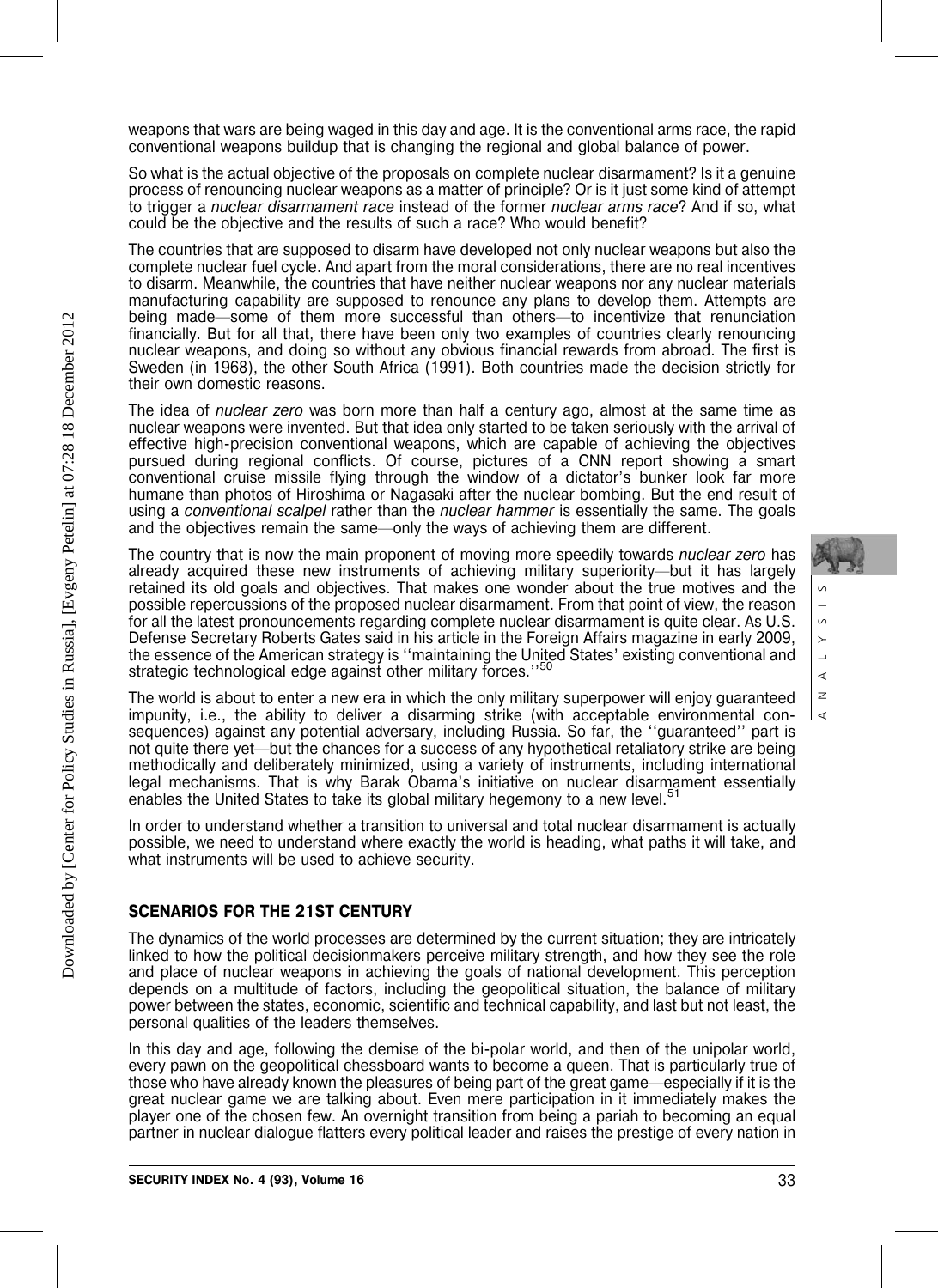weapons that wars are being waged in this day and age. It is the conventional arms race, the rapid conventional weapons buildup that is changing the regional and global balance of power.

So what is the actual objective of the proposals on complete nuclear disarmament? Is it a genuine process of renouncing nuclear weapons as a matter of principle? Or is it just some kind of attempt to trigger a nuclear disarmament race instead of the former nuclear arms race? And if so, what could be the objective and the results of such a race? Who would benefit?

The countries that are supposed to disarm have developed not only nuclear weapons but also the complete nuclear fuel cycle. And apart from the moral considerations, there are no real incentives to disarm. Meanwhile, the countries that have neither nuclear weapons nor any nuclear materials manufacturing capability are supposed to renounce any plans to develop them. Attempts are being made—some of them more successful than others—to incentivize that renunciation financially. But for all that, there have been only two examples of countries clearly renouncing nuclear weapons, and doing so without any obvious financial rewards from abroad. The first is Sweden (in 1968), the other South Africa (1991). Both countries made the decision strictly for their own domestic reasons.

The idea of nuclear zero was born more than half a century ago, almost at the same time as nuclear weapons were invented. But that idea only started to be taken seriously with the arrival of effective high-precision conventional weapons, which are capable of achieving the objectives pursued during regional conflicts. Of course, pictures of a CNN report showing a smart conventional cruise missile flying through the window of a dictator's bunker look far more humane than photos of Hiroshima or Nagasaki after the nuclear bombing. But the end result of using a conventional scalpel rather than the nuclear hammer is essentially the same. The goals and the objectives remain the same—only the ways of achieving them are different.

The country that is now the main proponent of moving more speedily towards *nuclear zero* has already acquired these new instruments of achieving military superiority—but it has largely retained its old goals and objectives. That makes one wonder about the true motives and the possible repercussions of the proposed nuclear disarmament. From that point of view, the reason for all the latest pronouncements regarding complete nuclear disarmament is quite clear. As U.S. Defense Secretary Roberts Gates said in his article in the Foreign Affairs magazine in early 2009, the essence of the American strategy is ''maintaining the United States' existing conventional and strategic technological edge against other military forces."50

The world is about to enter a new era in which the only military superpower will enjoy guaranteed impunity, i.e., the ability to deliver a disarming strike (with acceptable environmental consequences) against any potential adversary, including Russia. So far, the ''guaranteed'' part is not quite there yet—but the chances for a success of any hypothetical retaliatory strike are being methodically and deliberately minimized, using a variety of instruments, including international legal mechanisms. That is why Barak Obama's initiative on nuclear disarmament essentially enables the United States to take its global military hegemony to a new level.<sup>51</sup>

In order to understand whether a transition to universal and total nuclear disarmament is actually possible, we need to understand where exactly the world is heading, what paths it will take, and what instruments will be used to achieve security.

#### SCENARIOS FOR THE 21ST CENTURY

The dynamics of the world processes are determined by the current situation; they are intricately linked to how the political decisionmakers perceive military strength, and how they see the role and place of nuclear weapons in achieving the goals of national development. This perception depends on a multitude of factors, including the geopolitical situation, the balance of military power between the states, economic, scientific and technical capability, and last but not least, the personal qualities of the leaders themselves.

In this day and age, following the demise of the bi-polar world, and then of the unipolar world, every pawn on the geopolitical chessboard wants to become a queen. That is particularly true of those who have already known the pleasures of being part of the great game—especially if it is the great nuclear game we are talking about. Even mere participation in it immediately makes the player one of the chosen few. An overnight transition from being a pariah to becoming an equal partner in nuclear dialogue flatters every political leader and raises the prestige of every nation in ANALYSIS

 $\circ$  $\circ$  $\rightarrow$  $\overline{\phantom{a}}$  $\prec$  $\overline{z}$  $\vert$   $\triangleleft$ 

Art.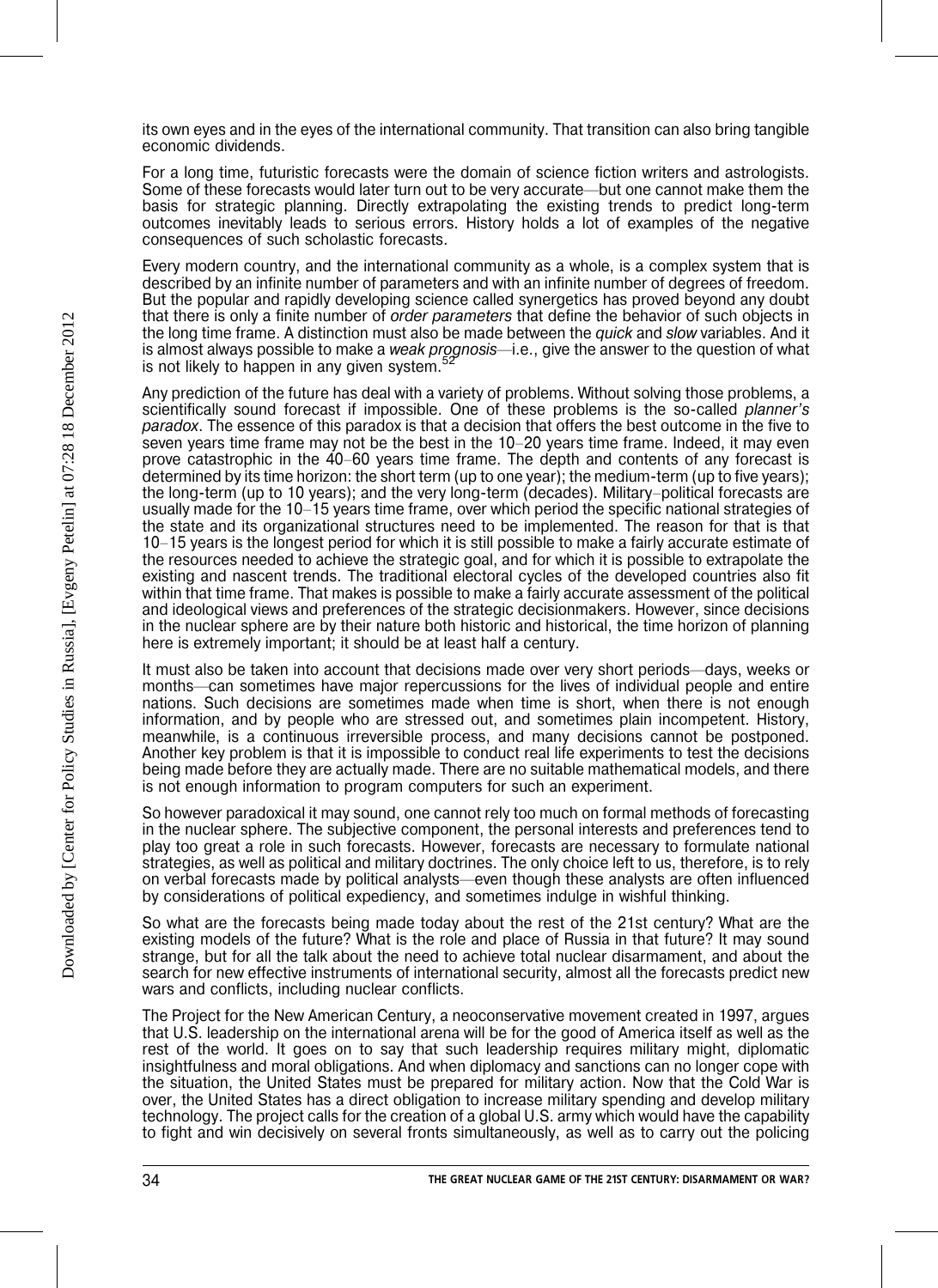its own eyes and in the eyes of the international community. That transition can also bring tangible economic dividends.

For a long time, futuristic forecasts were the domain of science fiction writers and astrologists. Some of these forecasts would later turn out to be very accurate—but one cannot make them the basis for strategic planning. Directly extrapolating the existing trends to predict long-term outcomes inevitably leads to serious errors. History holds a lot of examples of the negative consequences of such scholastic forecasts.

Every modern country, and the international community as a whole, is a complex system that is described by an infinite number of parameters and with an infinite number of degrees of freedom. But the popular and rapidly developing science called synergetics has proved beyond any doubt that there is only a finite number of order parameters that define the behavior of such objects in the long time frame. A distinction must also be made between the *quick* and *slow* variables. And it is almost always possible to make a *weak prognosis*—i.e., give the answer to the question of what<br>is not likely to happen in any given system.<sup>52</sup>

Any prediction of the future has deal with a variety of problems. Without solving those problems, a scientifically sound forecast if impossible. One of these problems is the so-called *planner's* paradox. The essence of this paradox is that a decision that offers the best outcome in the five to seven years time frame may not be the best in the 10-20 years time frame. Indeed, it may even prove catastrophic in the 40-60 years time frame. The depth and contents of any forecast is determined by its time horizon: the short term (up to one year); the medium-term (up to five years); the long-term (up to 10 years); and the very long-term (decades). Military-political forecasts are usually made for the 10-15 years time frame, over which period the specific national strategies of the state and its organizational structures need to be implemented. The reason for that is that 10-15 years is the longest period for which it is still possible to make a fairly accurate estimate of the resources needed to achieve the strategic goal, and for which it is possible to extrapolate the existing and nascent trends. The traditional electoral cycles of the developed countries also fit within that time frame. That makes is possible to make a fairly accurate assessment of the political and ideological views and preferences of the strategic decisionmakers. However, since decisions in the nuclear sphere are by their nature both historic and historical, the time horizon of planning here is extremely important; it should be at least half a century.

It must also be taken into account that decisions made over very short periods—days, weeks or months—can sometimes have major repercussions for the lives of individual people and entire nations. Such decisions are sometimes made when time is short, when there is not enough information, and by people who are stressed out, and sometimes plain incompetent. History, meanwhile, is a continuous irreversible process, and many decisions cannot be postponed. Another key problem is that it is impossible to conduct real life experiments to test the decisions being made before they are actually made. There are no suitable mathematical models, and there is not enough information to program computers for such an experiment.

So however paradoxical it may sound, one cannot rely too much on formal methods of forecasting in the nuclear sphere. The subjective component, the personal interests and preferences tend to play too great a role in such forecasts. However, forecasts are necessary to formulate national strategies, as well as political and military doctrines. The only choice left to us, therefore, is to rely on verbal forecasts made by political analysts—even though these analysts are often influenced by considerations of political expediency, and sometimes indulge in wishful thinking.

So what are the forecasts being made today about the rest of the 21st century? What are the existing models of the future? What is the role and place of Russia in that future? It may sound strange, but for all the talk about the need to achieve total nuclear disarmament, and about the search for new effective instruments of international security, almost all the forecasts predict new wars and conflicts, including nuclear conflicts.

The Project for the New American Century, a neoconservative movement created in 1997, argues that U.S. leadership on the international arena will be for the good of America itself as well as the rest of the world. It goes on to say that such leadership requires military might, diplomatic insightfulness and moral obligations. And when diplomacy and sanctions can no longer cope with the situation, the United States must be prepared for military action. Now that the Cold War is over, the United States has a direct obligation to increase military spending and develop military technology. The project calls for the creation of a global U.S. army which would have the capability to fight and win decisively on several fronts simultaneously, as well as to carry out the policing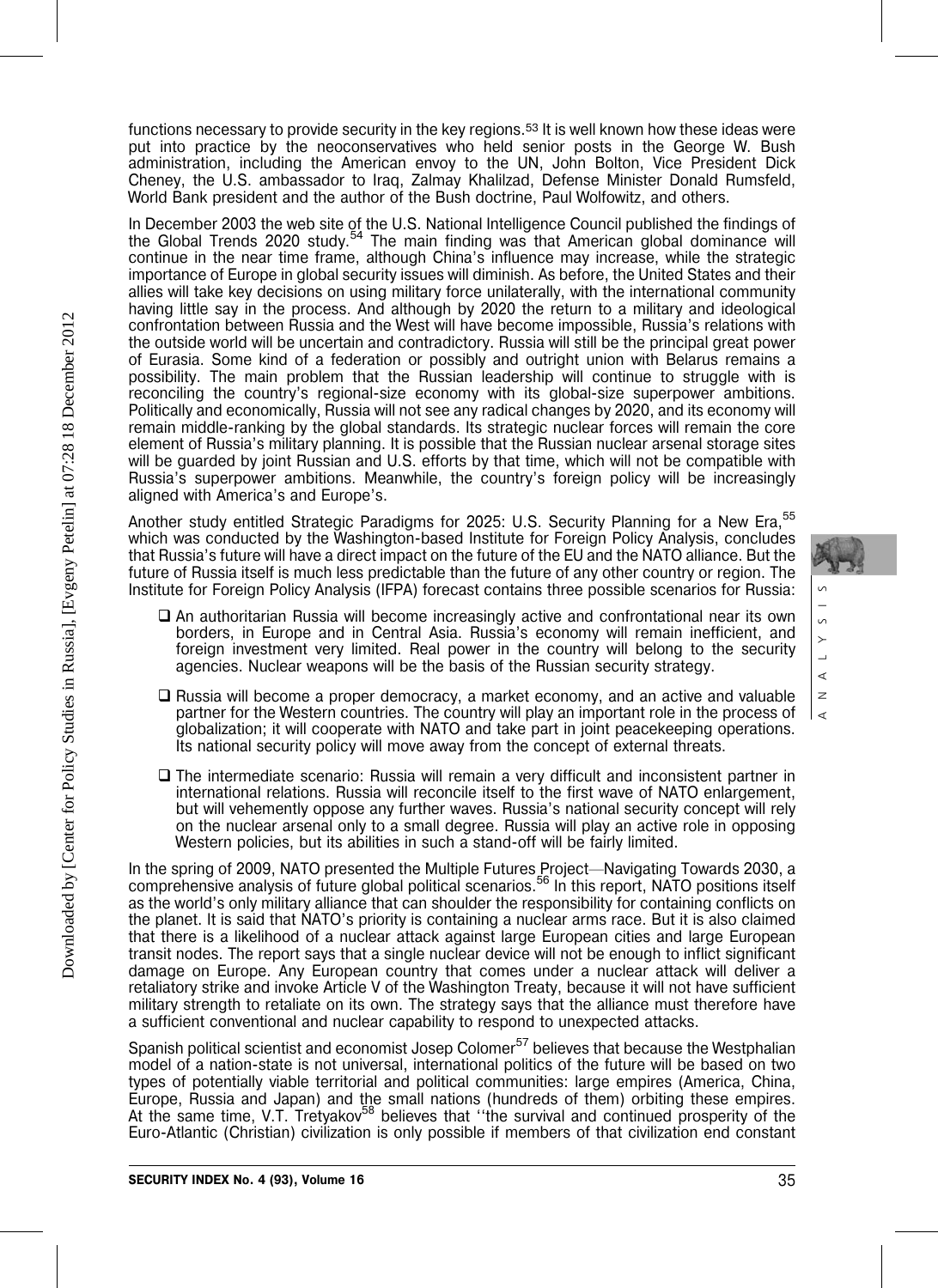functions necessary to provide security in the key regions.53 It is well known how these ideas were put into practice by the neoconservatives who held senior posts in the George W. Bush administration, including the American envoy to the UN, John Bolton, Vice President Dick Cheney, the U.S. ambassador to Iraq, Zalmay Khalilzad, Defense Minister Donald Rumsfeld, World Bank president and the author of the Bush doctrine, Paul Wolfowitz, and others.

In December 2003 the web site of the U.S. National Intelligence Council published the findings of the Global Trends 2020 study.<sup>54</sup> The main finding was that American global dominance will continue in the near time frame, although China's influence may increase, while the strategic importance of Europe in global security issues will diminish. As before, the United States and their allies will take key decisions on using military force unilaterally, with the international community having little say in the process. And although by 2020 the return to a military and ideological confrontation between Russia and the West will have become impossible, Russia's relations with the outside world will be uncertain and contradictory. Russia will still be the principal great power of Eurasia. Some kind of a federation or possibly and outright union with Belarus remains a possibility. The main problem that the Russian leadership will continue to struggle with is reconciling the country's regional-size economy with its global-size superpower ambitions. Politically and economically, Russia will not see any radical changes by 2020, and its economy will remain middle-ranking by the global standards. Its strategic nuclear forces will remain the core element of Russia's military planning. It is possible that the Russian nuclear arsenal storage sites will be guarded by joint Russian and U.S. efforts by that time, which will not be compatible with Russia's superpower ambitions. Meanwhile, the country's foreign policy will be increasingly aligned with America's and Europe's.

Another study entitled Strategic Paradigms for 2025: U.S. Security Planning for a New Era,<sup>55</sup> which was conducted by the Washington-based Institute for Foreign Policy Analysis, concludes that Russia's future will have a direct impact on the future of the EU and the NATO alliance. But the future of Russia itself is much less predictable than the future of any other country or region. The Institute for Foreign Policy Analysis (IFPA) forecast contains three possible scenarios for Russia:

- $\Box$  An authoritarian Russia will become increasingly active and confrontational near its own borders, in Europe and in Central Asia. Russia's economy will remain inefficient, and foreign investment very limited. Real power in the country will belong to the security agencies. Nuclear weapons will be the basis of the Russian security strategy.
- $\Box$  Russia will become a proper democracy, a market economy, and an active and valuable partner for the Western countries. The country will play an important role in the process of globalization; it will cooperate with NATO and take part in joint peacekeeping operations. Its national security policy will move away from the concept of external threats.
- $\square$  The intermediate scenario: Russia will remain a very difficult and inconsistent partner in international relations. Russia will reconcile itself to the first wave of NATO enlargement, but will vehemently oppose any further waves. Russia's national security concept will rely on the nuclear arsenal only to a small degree. Russia will play an active role in opposing Western policies, but its abilities in such a stand-off will be fairly limited.

In the spring of 2009, NATO presented the Multiple Futures Project—Navigating Towards 2030, a<br>comprehensive analysis of future global political scenarios.<sup>56</sup> In this report, NATO positions itself as the world's only military alliance that can shoulder the responsibility for containing conflicts on the planet. It is said that NATO's priority is containing a nuclear arms race. But it is also claimed that there is a likelihood of a nuclear attack against large European cities and large European transit nodes. The report says that a single nuclear device will not be enough to inflict significant damage on Europe. Any European country that comes under a nuclear attack will deliver a retaliatory strike and invoke Article V of the Washington Treaty, because it will not have sufficient military strength to retaliate on its own. The strategy says that the alliance must therefore have a sufficient conventional and nuclear capability to respond to unexpected attacks.

Spanish political scientist and economist Josep Colomer<sup>57</sup> believes that because the Westphalian model of a nation-state is not universal, international politics of the future will be based on two types of potentially viable territorial and political communities: large empires (America, China, Europe, Russia and Japan) and the small nations (hundreds of them) orbiting these empires.<br>At the same time, V.T. Tretyakov<sup>58</sup> believes that ''the survival and continued prosperity of the Euro-Atlantic (Christian) civilization is only possible if members of that civilization end constant ANALYSIS

S  $\circ$  $\rightarrow$  $\overline{\phantom{a}}$  $\prec$  $\overline{z}$  $\vert$   $\triangleleft$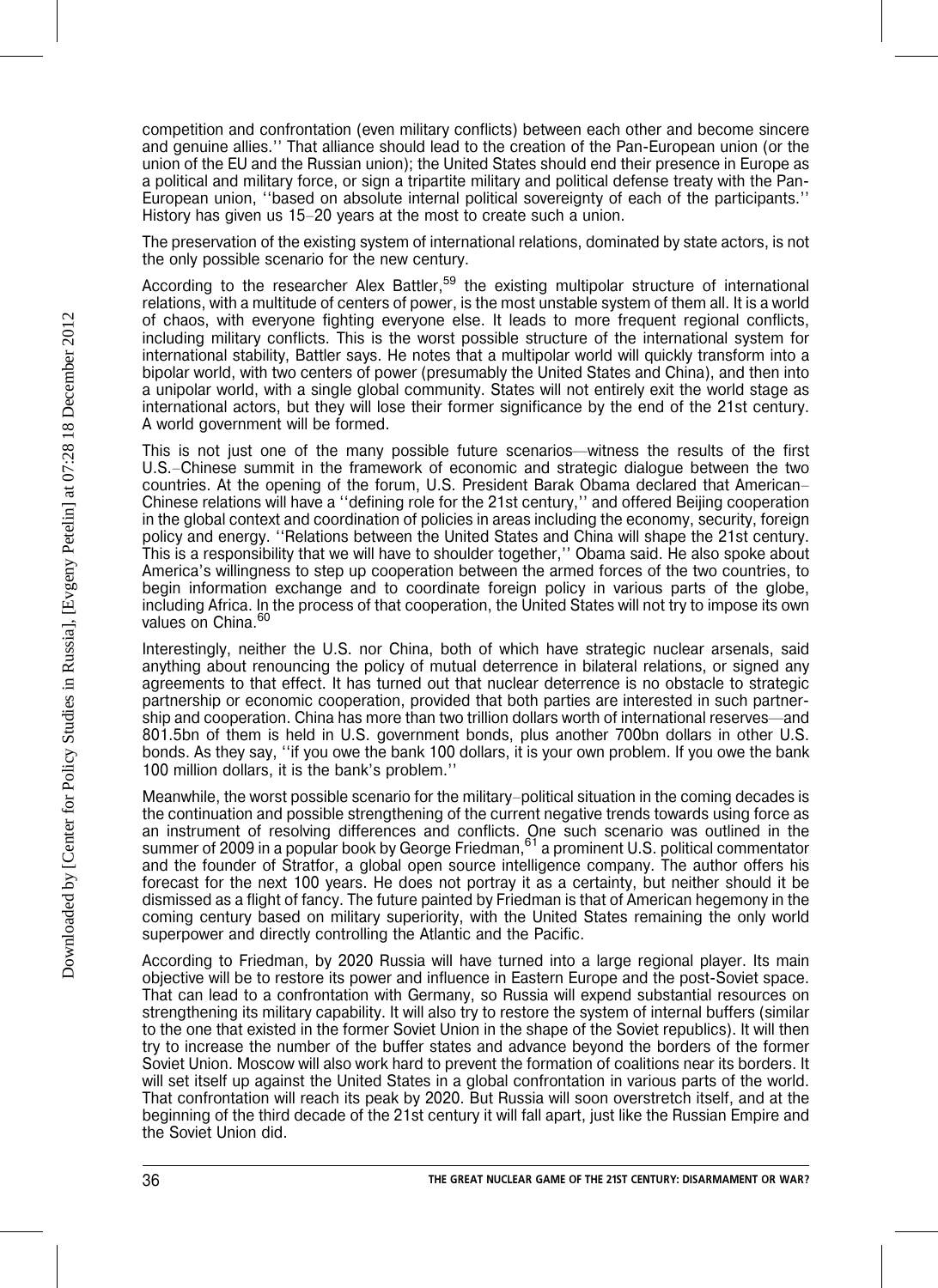competition and confrontation (even military conflicts) between each other and become sincere and genuine allies.'' That alliance should lead to the creation of the Pan-European union (or the union of the EU and the Russian union); the United States should end their presence in Europe as a political and military force, or sign a tripartite military and political defense treaty with the Pan-European union, ''based on absolute internal political sovereignty of each of the participants.'' History has given us 15-20 years at the most to create such a union.

The preservation of the existing system of international relations, dominated by state actors, is not the only possible scenario for the new century.

According to the researcher Alex Battler,<sup>59</sup> the existing multipolar structure of international relations, with a multitude of centers of power, is the most unstable system of them all. It is a world of chaos, with everyone fighting everyone else. It leads to more frequent regional conflicts, including military conflicts. This is the worst possible structure of the international system for international stability, Battler says. He notes that a multipolar world will quickly transform into a bipolar world, with two centers of power (presumably the United States and China), and then into a unipolar world, with a single global community. States will not entirely exit the world stage as international actors, but they will lose their former significance by the end of the 21st century. A world government will be formed.

This is not just one of the many possible future scenarios—witness the results of the first U.S.-Chinese summit in the framework of economic and strategic dialogue between the two countries. At the opening of the forum, U.S. President Barak Obama declared that American- Chinese relations will have a ''defining role for the 21st century,'' and offered Beijing cooperation in the global context and coordination of policies in areas including the economy, security, foreign policy and energy. ''Relations between the United States and China will shape the 21st century. This is a responsibility that we will have to shoulder together,'' Obama said. He also spoke about America's willingness to step up cooperation between the armed forces of the two countries, to begin information exchange and to coordinate foreign policy in various parts of the globe, including Africa. In the process of that cooperation, the United States will not try to impose its own values on China.<sup>60</sup>

Interestingly, neither the U.S. nor China, both of which have strategic nuclear arsenals, said anything about renouncing the policy of mutual deterrence in bilateral relations, or signed any agreements to that effect. It has turned out that nuclear deterrence is no obstacle to strategic partnership or economic cooperation, provided that both parties are interested in such partnership and cooperation. China has more than two trillion dollars worth of international reserves—and 801.5bn of them is held in U.S. government bonds, plus another 700bn dollars in other U.S. bonds. As they say, ''if you owe the bank 100 dollars, it is your own problem. If you owe the bank 100 million dollars, it is the bank's problem.''

Meanwhile, the worst possible scenario for the military-political situation in the coming decades is the continuation and possible strengthening of the current negative trends towards using force as an instrument of resolving differences and conflicts. One such scenario was outlined in the<br>summer of 2009 in a popular book by George Friedman,<sup>61</sup> a prominent U.S. political commentator and the founder of Stratfor, a global open source intelligence company. The author offers his forecast for the next 100 years. He does not portray it as a certainty, but neither should it be dismissed as a flight of fancy. The future painted by Friedman is that of American hegemony in the coming century based on military superiority, with the United States remaining the only world superpower and directly controlling the Atlantic and the Pacific.

According to Friedman, by 2020 Russia will have turned into a large regional player. Its main objective will be to restore its power and influence in Eastern Europe and the post-Soviet space. That can lead to a confrontation with Germany, so Russia will expend substantial resources on strengthening its military capability. It will also try to restore the system of internal buffers (similar to the one that existed in the former Soviet Union in the shape of the Soviet republics). It will then try to increase the number of the buffer states and advance beyond the borders of the former Soviet Union. Moscow will also work hard to prevent the formation of coalitions near its borders. It will set itself up against the United States in a global confrontation in various parts of the world. That confrontation will reach its peak by 2020. But Russia will soon overstretch itself, and at the beginning of the third decade of the 21st century it will fall apart, just like the Russian Empire and the Soviet Union did.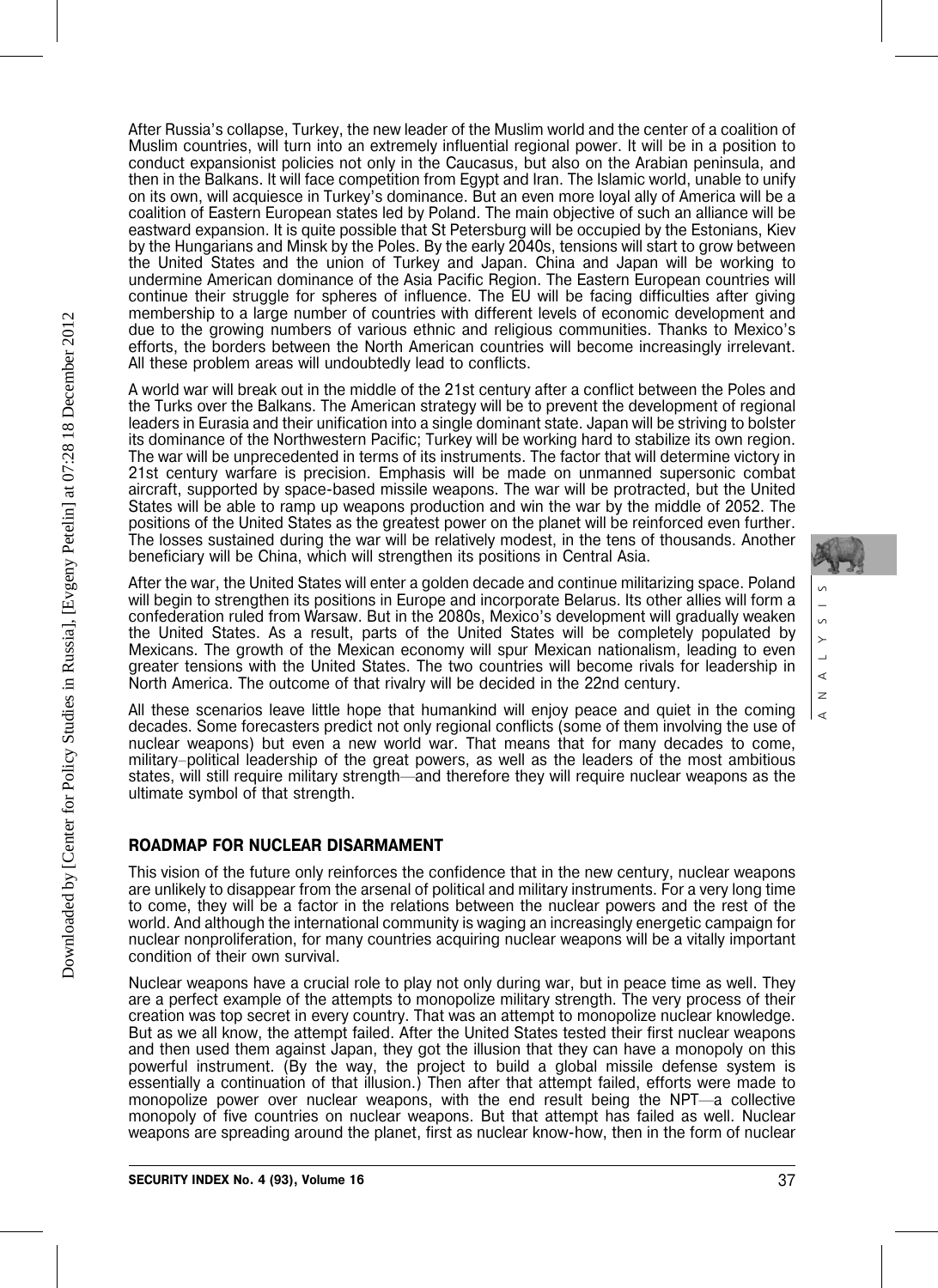After Russia's collapse, Turkey, the new leader of the Muslim world and the center of a coalition of Muslim countries, will turn into an extremely influential regional power. It will be in a position to conduct expansionist policies not only in the Caucasus, but also on the Arabian peninsula, and then in the Balkans. It will face competition from Egypt and Iran. The Islamic world, unable to unify on its own, will acquiesce in Turkey's dominance. But an even more loyal ally of America will be a coalition of Eastern European states led by Poland. The main objective of such an alliance will be eastward expansion. It is quite possible that St Petersburg will be occupied by the Estonians, Kiev by the Hungarians and Minsk by the Poles. By the early 2040s, tensions will start to grow between the United States and the union of Turkey and Japan. China and Japan will be working to undermine American dominance of the Asia Pacific Region. The Eastern European countries will continue their struggle for spheres of influence. The EU will be facing difficulties after giving membership to a large number of countries with different levels of economic development and due to the growing numbers of various ethnic and religious communities. Thanks to Mexico's efforts, the borders between the North American countries will become increasingly irrelevant. All these problem areas will undoubtedly lead to conflicts.

A world war will break out in the middle of the 21st century after a conflict between the Poles and the Turks over the Balkans. The American strategy will be to prevent the development of regional leaders in Eurasia and their unification into a single dominant state. Japan will be striving to bolster its dominance of the Northwestern Pacific; Turkey will be working hard to stabilize its own region. The war will be unprecedented in terms of its instruments. The factor that will determine victory in 21st century warfare is precision. Emphasis will be made on unmanned supersonic combat aircraft, supported by space-based missile weapons. The war will be protracted, but the United States will be able to ramp up weapons production and win the war by the middle of 2052. The positions of the United States as the greatest power on the planet will be reinforced even further. The losses sustained during the war will be relatively modest, in the tens of thousands. Another beneficiary will be China, which will strengthen its positions in Central Asia.

After the war, the United States will enter a golden decade and continue militarizing space. Poland will begin to strengthen its positions in Europe and incorporate Belarus. Its other allies will form a confederation ruled from Warsaw. But in the 2080s, Mexico's development will gradually weaken the United States. As a result, parts of the United States will be completely populated by Mexicans. The growth of the Mexican economy will spur Mexican nationalism, leading to even greater tensions with the United States. The two countries will become rivals for leadership in North America. The outcome of that rivalry will be decided in the 22nd century.

All these scenarios leave little hope that humankind will enjoy peace and quiet in the coming decades. Some forecasters predict not only regional conflicts (some of them involving the use of nuclear weapons) but even a new world war. That means that for many decades to come, military-political leadership of the great powers, as well as the leaders of the most ambitious states, will still require military strength-and therefore they will require nuclear weapons as the ultimate symbol of that strength.

## ROADMAP FOR NUCLEAR DISARMAMENT

This vision of the future only reinforces the confidence that in the new century, nuclear weapons are unlikely to disappear from the arsenal of political and military instruments. For a very long time to come, they will be a factor in the relations between the nuclear powers and the rest of the world. And although the international community is waging an increasingly energetic campaign for nuclear nonproliferation, for many countries acquiring nuclear weapons will be a vitally important condition of their own survival.

Nuclear weapons have a crucial role to play not only during war, but in peace time as well. They are a perfect example of the attempts to monopolize military strength. The very process of their creation was top secret in every country. That was an attempt to monopolize nuclear knowledge. But as we all know, the attempt failed. After the United States tested their first nuclear weapons and then used them against Japan, they got the illusion that they can have a monopoly on this powerful instrument. (By the way, the project to build a global missile defense system is essentially a continuation of that illusion.) Then after that attempt failed, efforts were made to monopolize power over nuclear weapons, with the end result being the  $NPT$ —a collective monopoly of five countries on nuclear weapons. But that attempt has failed as well. Nuclear weapons are spreading around the planet, first as nuclear know-how, then in the form of nuclear ANALYSIS

 $\circ$  $\rightarrow$  $\overline{\phantom{a}}$  $\prec$  $\overline{z}$  $\vert$   $\triangleleft$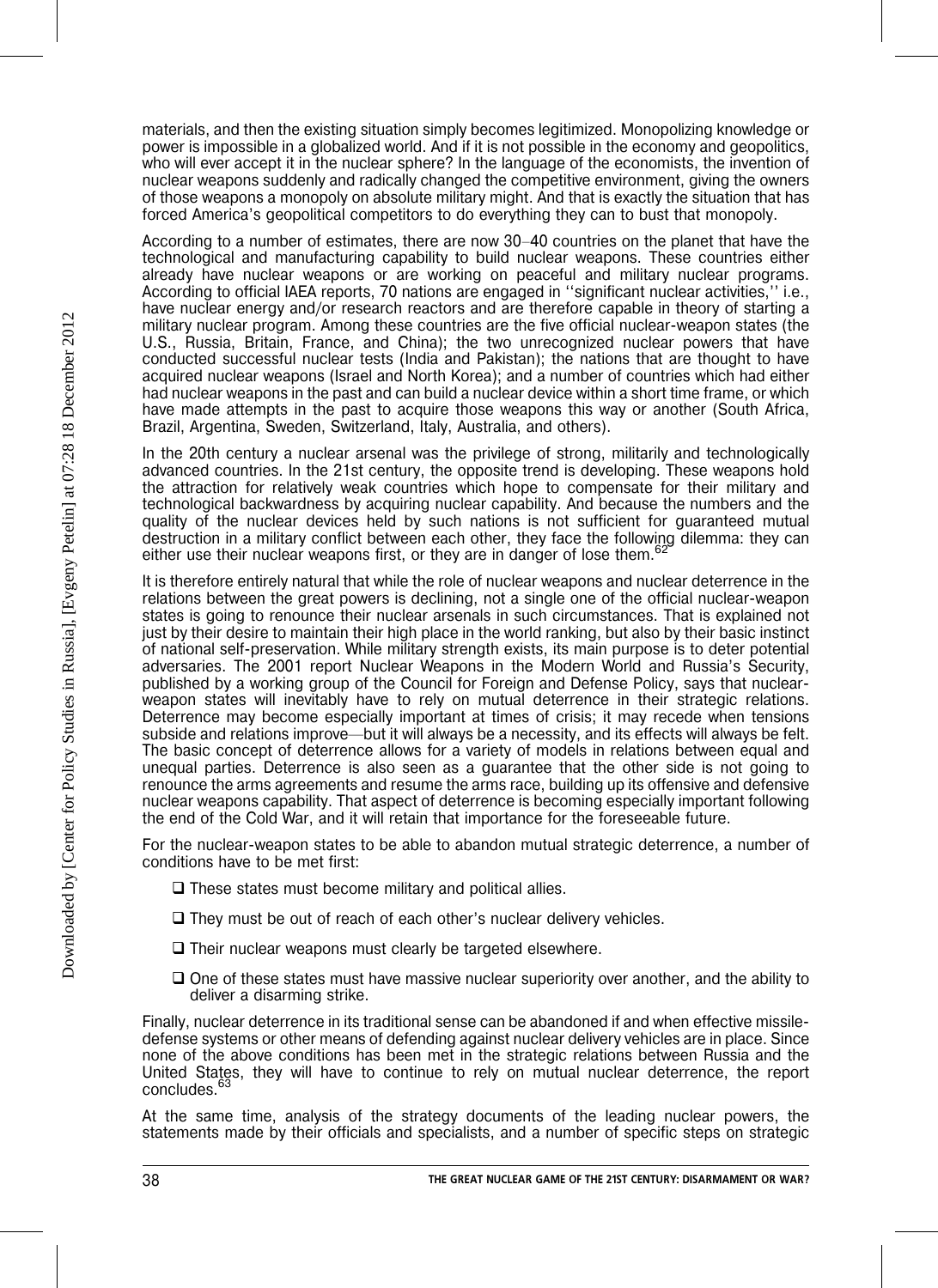materials, and then the existing situation simply becomes legitimized. Monopolizing knowledge or power is impossible in a globalized world. And if it is not possible in the economy and geopolitics, who will ever accept it in the nuclear sphere? In the language of the economists, the invention of nuclear weapons suddenly and radically changed the competitive environment, giving the owners of those weapons a monopoly on absolute military might. And that is exactly the situation that has forced America's geopolitical competitors to do everything they can to bust that monopoly.

According to a number of estimates, there are now 30-40 countries on the planet that have the technological and manufacturing capability to build nuclear weapons. These countries either already have nuclear weapons or are working on peaceful and military nuclear programs. According to official IAEA reports, 70 nations are engaged in ''significant nuclear activities,'' i.e., have nuclear energy and/or research reactors and are therefore capable in theory of starting a military nuclear program. Among these countries are the five official nuclear-weapon states (the U.S., Russia, Britain, France, and China); the two unrecognized nuclear powers that have conducted successful nuclear tests (India and Pakistan); the nations that are thought to have acquired nuclear weapons (Israel and North Korea); and a number of countries which had either had nuclear weapons in the past and can build a nuclear device within a short time frame, or which have made attempts in the past to acquire those weapons this way or another (South Africa, Brazil, Argentina, Sweden, Switzerland, Italy, Australia, and others).

In the 20th century a nuclear arsenal was the privilege of strong, militarily and technologically advanced countries. In the 21st century, the opposite trend is developing. These weapons hold the attraction for relatively weak countries which hope to compensate for their military and technological backwardness by acquiring nuclear capability. And because the numbers and the quality of the nuclear devices held by such nations is not sufficient for guaranteed mutual destruction in a military conflict between each other, they face the following dilemma: they can<br>either use their nuclear weapons first, or they are in danger of lose them.<sup>62</sup>

It is therefore entirely natural that while the role of nuclear weapons and nuclear deterrence in the relations between the great powers is declining, not a single one of the official nuclear-weapon states is going to renounce their nuclear arsenals in such circumstances. That is explained not just by their desire to maintain their high place in the world ranking, but also by their basic instinct of national self-preservation. While military strength exists, its main purpose is to deter potential adversaries. The 2001 report Nuclear Weapons in the Modern World and Russia's Security, published by a working group of the Council for Foreign and Defense Policy, says that nuclearweapon states will inevitably have to rely on mutual deterrence in their strategic relations. Deterrence may become especially important at times of crisis; it may recede when tensions subside and relations improve—but it will always be a necessity, and its effects will always be felt. The basic concept of deterrence allows for a variety of models in relations between equal and unequal parties. Deterrence is also seen as a guarantee that the other side is not going to renounce the arms agreements and resume the arms race, building up its offensive and defensive nuclear weapons capability. That aspect of deterrence is becoming especially important following the end of the Cold War, and it will retain that importance for the foreseeable future.

For the nuclear-weapon states to be able to abandon mutual strategic deterrence, a number of conditions have to be met first:

- $\square$  These states must become military and political allies.
- $\Box$  They must be out of reach of each other's nuclear delivery vehicles.
- $\Box$  Their nuclear weapons must clearly be targeted elsewhere.
- $\square$  One of these states must have massive nuclear superiority over another, and the ability to deliver a disarming strike.

Finally, nuclear deterrence in its traditional sense can be abandoned if and when effective missiledefense systems or other means of defending against nuclear delivery vehicles are in place. Since none of the above conditions has been met in the strategic relations between Russia and the United States, they will have to continue to rely on mutual nuclear deterrence, the report<br>concludes.<sup>63</sup>

At the same time, analysis of the strategy documents of the leading nuclear powers, the statements made by their officials and specialists, and a number of specific steps on strategic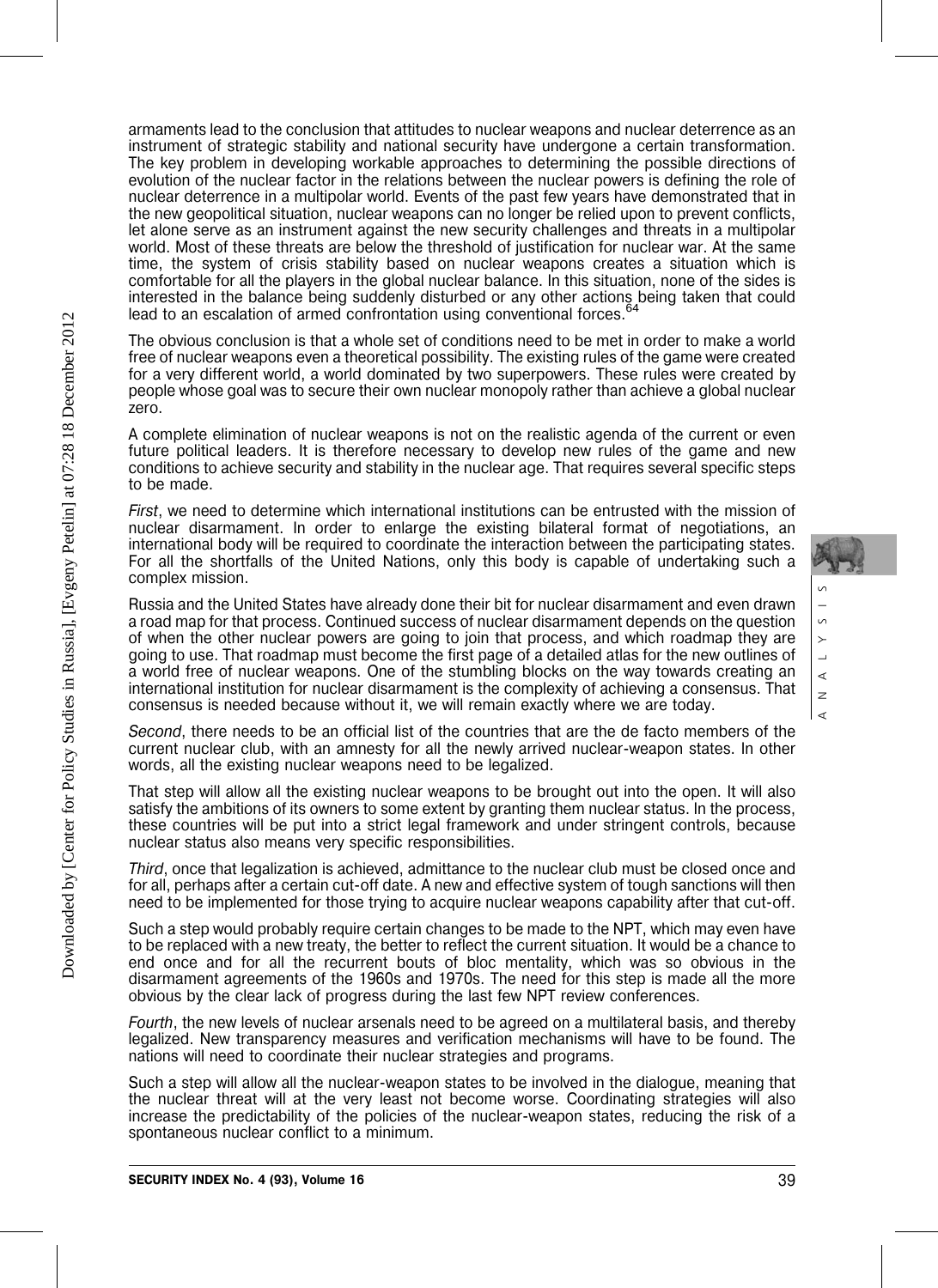armaments lead to the conclusion that attitudes to nuclear weapons and nuclear deterrence as an instrument of strategic stability and national security have undergone a certain transformation. The key problem in developing workable approaches to determining the possible directions of evolution of the nuclear factor in the relations between the nuclear powers is defining the role of nuclear deterrence in a multipolar world. Events of the past few years have demonstrated that in the new geopolitical situation, nuclear weapons can no longer be relied upon to prevent conflicts, let alone serve as an instrument against the new security challenges and threats in a multipolar world. Most of these threats are below the threshold of justification for nuclear war. At the same time, the system of crisis stability based on nuclear weapons creates a situation which is comfortable for all the players in the global nuclear balance. In this situation, none of the sides is interested in the balance being suddenly disturbed or any other actions being taken that could<br>lead to an escalation of armed confrontation using conventional forces.<sup>64</sup>

The obvious conclusion is that a whole set of conditions need to be met in order to make a world free of nuclear weapons even a theoretical possibility. The existing rules of the game were created for a very different world, a world dominated by two superpowers. These rules were created by people whose goal was to secure their own nuclear monopoly rather than achieve a global nuclear zero.

A complete elimination of nuclear weapons is not on the realistic agenda of the current or even future political leaders. It is therefore necessary to develop new rules of the game and new conditions to achieve security and stability in the nuclear age. That requires several specific steps to be made.

First, we need to determine which international institutions can be entrusted with the mission of nuclear disarmament. In order to enlarge the existing bilateral format of negotiations, an international body will be required to coordinate the interaction between the participating states. For all the shortfalls of the United Nations, only this body is capable of undertaking such a complex mission.

Russia and the United States have already done their bit for nuclear disarmament and even drawn a road map for that process. Continued success of nuclear disarmament depends on the question of when the other nuclear powers are going to join that process, and which roadmap they are going to use. That roadmap must become the first page of a detailed atlas for the new outlines of a world free of nuclear weapons. One of the stumbling blocks on the way towards creating an international institution for nuclear disarmament is the complexity of achieving a consensus. That consensus is needed because without it, we will remain exactly where we are today.

Second, there needs to be an official list of the countries that are the de facto members of the current nuclear club, with an amnesty for all the newly arrived nuclear-weapon states. In other words, all the existing nuclear weapons need to be legalized.

That step will allow all the existing nuclear weapons to be brought out into the open. It will also satisfy the ambitions of its owners to some extent by granting them nuclear status. In the process, these countries will be put into a strict legal framework and under stringent controls, because nuclear status also means very specific responsibilities.

Third, once that legalization is achieved, admittance to the nuclear club must be closed once and for all, perhaps after a certain cut-off date. A new and effective system of tough sanctions will then need to be implemented for those trying to acquire nuclear weapons capability after that cut-off.

Such a step would probably require certain changes to be made to the NPT, which may even have to be replaced with a new treaty, the better to reflect the current situation. It would be a chance to end once and for all the recurrent bouts of bloc mentality, which was so obvious in the disarmament agreements of the 1960s and 1970s. The need for this step is made all the more obvious by the clear lack of progress during the last few NPT review conferences.

Fourth, the new levels of nuclear arsenals need to be agreed on a multilateral basis, and thereby legalized. New transparency measures and verification mechanisms will have to be found. The nations will need to coordinate their nuclear strategies and programs.

Such a step will allow all the nuclear-weapon states to be involved in the dialogue, meaning that the nuclear threat will at the very least not become worse. Coordinating strategies will also increase the predictability of the policies of the nuclear-weapon states, reducing the risk of a spontaneous nuclear conflict to a minimum.

ANALYSIS

S  $\circ$  $\rightarrow$  $\overline{\phantom{a}}$  $\prec$  $\overline{z}$  $\prec$ 

Downloaded by [Center for Policy Studies in Russia], [Evgeny Petelin] at 07:28 18 December 2012 Downloaded by [Center for Policy Studies in Russia], [Evgeny Petelin] at 07:28 18 December 2012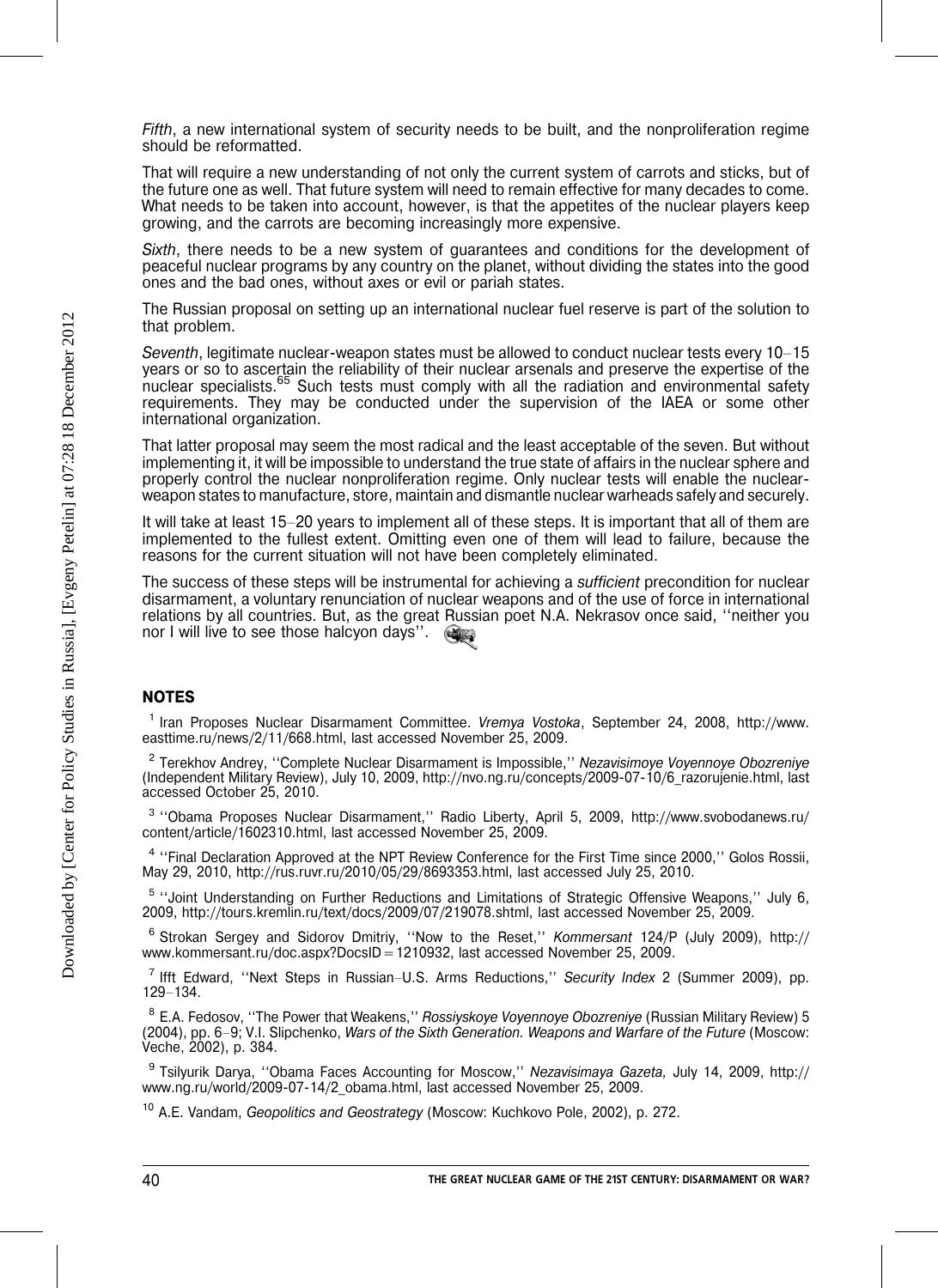Fifth, a new international system of security needs to be built, and the nonproliferation regime should be reformatted.

That will require a new understanding of not only the current system of carrots and sticks, but of the future one as well. That future system will need to remain effective for many decades to come. What needs to be taken into account, however, is that the appetites of the nuclear players keep growing, and the carrots are becoming increasingly more expensive.

Sixth, there needs to be a new system of guarantees and conditions for the development of peaceful nuclear programs by any country on the planet, without dividing the states into the good ones and the bad ones, without axes or evil or pariah states.

The Russian proposal on setting up an international nuclear fuel reserve is part of the solution to that problem.

Seventh, legitimate nuclear-weapon states must be allowed to conduct nuclear tests every 10-15 years or so to ascertain the reliability of their nuclear arsenals and preserve the expertise of the nuclear specialists.<sup>65</sup> Such tests must comply with all the radiation and environmental safety requirements. They may be conducted under the supervision of the IAEA or some other international organization.

That latter proposal may seem the most radical and the least acceptable of the seven. But without implementing it, it will be impossible to understand the true state of affairs in the nuclear sphere and properly control the nuclear nonproliferation regime. Only nuclear tests will enable the nuclearweapon states to manufacture, store, maintain and dismantle nuclear warheads safely and securely.

It will take at least 15-20 years to implement all of these steps. It is important that all of them are implemented to the fullest extent. Omitting even one of them will lead to failure, because the reasons for the current situation will not have been completely eliminated.

The success of these steps will be instrumental for achieving a *sufficient* precondition for nuclear disarmament, a voluntary renunciation of nuclear weapons and of the use of force in international relations by all countries. But, as the great Russian poet N.A. Nekrasov once said, ''neither you nor I will live to see those halcyon days''. COL

#### NOTES

<sup>1</sup> Iran Proposes Nuclear Disarmament Committee. Vremya Vostoka, September 24, 2008, [http://www.](http://www.easttime.ru/news/2/11/668.html) [easttime.ru/news/2/11/668.html](http://www.easttime.ru/news/2/11/668.html), last accessed November 25, 2009.

<sup>2</sup> Terekhov Andrey, "Complete Nuclear Disarmament is Impossible," Nezavisimoye Voyennoye Obozreniye (Independent Military Review), July 10, 2009, [http://nvo.ng.ru/concepts/2009-07-10/6\\_razorujenie.html,](http://nvo.ng.ru/concepts/2009-07-10/6_razorujenie.html) last accessed October 25, 2010.

<sup>3</sup> ''Obama Proposes Nuclear Disarmament,'' Radio Liberty, April 5, 2009, [http://www.svobodanews.ru/](http://www.svobodanews.ru/content/article/1602310.html) [content/article/1602310.html](http://www.svobodanews.ru/content/article/1602310.html), last accessed November 25, 2009.

<sup>4</sup> "Final Declaration Approved at the NPT Review Conference for the First Time since 2000," Golos Rossii, May 29, 2010, [http://rus.ruvr.ru/2010/05/29/8693353.html,](http://rus.ruvr.ru/2010/05/29/8693353.html) last accessed July 25, 2010.

<sup>5</sup> "Joint Understanding on Further Reductions and Limitations of Strategic Offensive Weapons," July 6, 2009, [http://tours.kremlin.ru/text/docs/2009/07/219078.shtml,](http://tours.kremlin.ru/text/docs/2009/07/219078.shtml) last accessed November 25, 2009.

<sup>6</sup> Strokan Sergey and Sidorov Dmitriy, "Now to the Reset," Kommersant 124/P (July 2009), [http://](http://www.kommersant.ru/doc.aspx?DocsID=1210932) [www.kommersant.ru/doc.aspx?DocsID](http://www.kommersant.ru/doc.aspx?DocsID=1210932) = [1210932](http://www.kommersant.ru/doc.aspx?DocsID=1210932), last accessed November 25, 2009.

<sup>7</sup> Ifft Edward, "Next Steps in Russian-U.S. Arms Reductions," Security Index 2 (Summer 2009), pp. 129-134.

<sup>8</sup> E.A. Fedosov, "The Power that Weakens," Rossiyskoye Voyennoye Obozreniye (Russian Military Review) 5 (2004), pp. 6–9; V.I. Slipchenko, *Wars of the Sixth Generation. Weapons and Warfare of the Future* (Moscow: Veche, 2002), p. 384.

<sup>9</sup> Tsilyurik Darya, "Obama Faces Accounting for Moscow," Nezavisimaya Gazeta, July 14, 2009, [http://](http://www.ng.ru/world/2009-07-14/2_obama.html) [www.ng.ru/world/2009-07-14/2\\_obama.html](http://www.ng.ru/world/2009-07-14/2_obama.html), last accessed November 25, 2009.

<sup>10</sup> A.E. Vandam, Geopolitics and Geostrategy (Moscow: Kuchkovo Pole, 2002), p. 272.

 $\sim$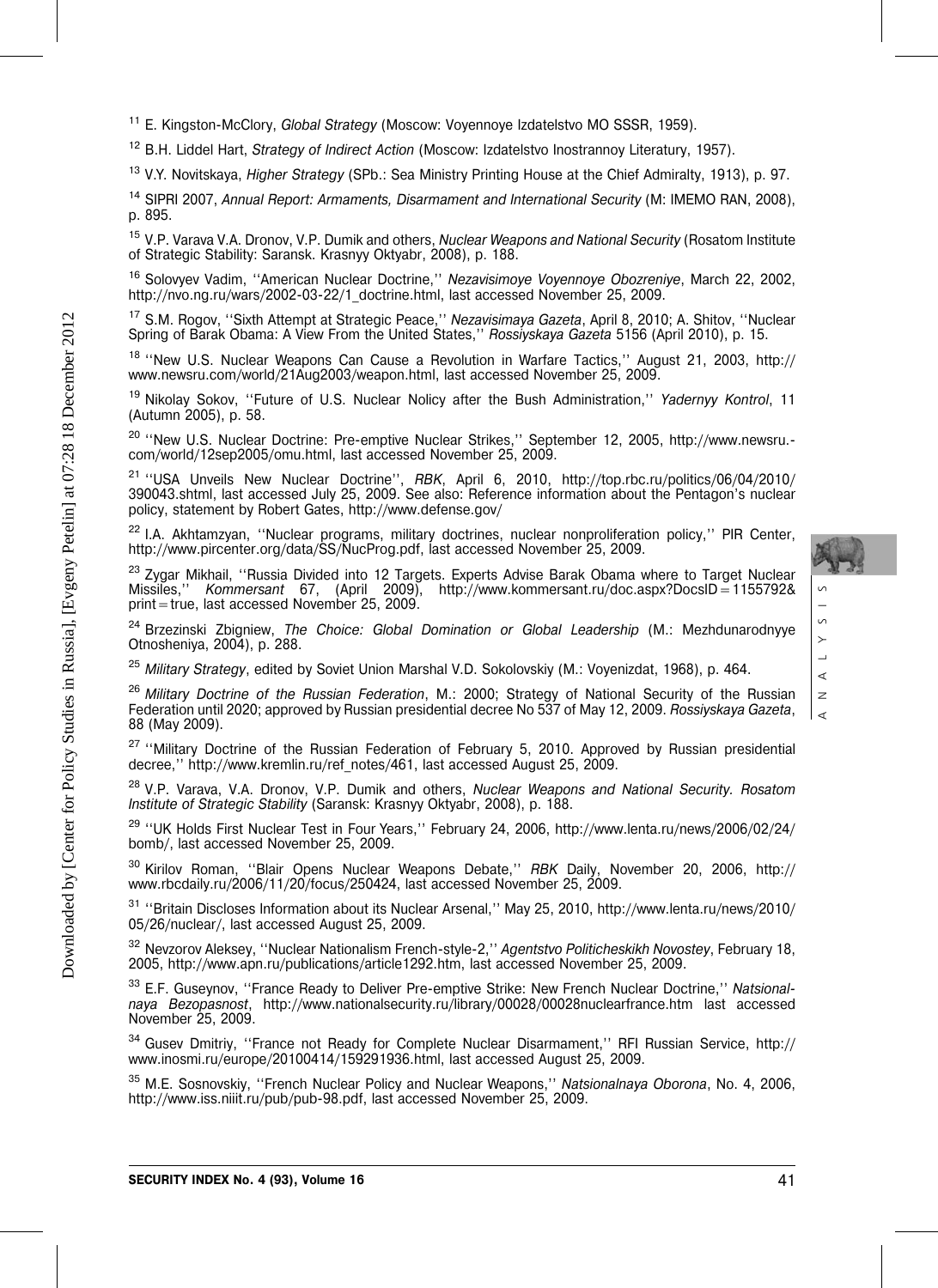<sup>11</sup> E. Kingston-McClory, Global Strategy (Moscow: Voyennoye Izdatelstvo MO SSSR, 1959).

<sup>12</sup> B.H. Liddel Hart, Strategy of Indirect Action (Moscow: Izdatelstvo Inostrannoy Literatury, 1957).

<sup>13</sup> V.Y. Novitskaya, Higher Strategy (SPb.: Sea Ministry Printing House at the Chief Admiralty, 1913), p. 97.

<sup>14</sup> SIPRI 2007, Annual Report: Armaments, Disarmament and International Security (M: IMEMO RAN, 2008), p. 895.

<sup>15</sup> V.P. Varava V.A. Dronov, V.P. Dumik and others, Nuclear Weapons and National Security (Rosatom Institute of Strategic Stability: Saransk. Krasnyy Oktyabr, 2008), p. 188.

<sup>16</sup> Solovyev Vadim, "American Nuclear Doctrine," Nezavisimoye Voyennoye Obozreniye, March 22, 2002, [http://nvo.ng.ru/wars/2002-03-22/1\\_doctrine.html,](http://nvo.ng.ru/wars/2002-03-22/1_doctrine.html) last accessed November 25, 2009.

<sup>17</sup> S.M. Rogov, "Sixth Attempt at Strategic Peace," Nezavisimaya Gazeta, April 8, 2010; A. Shitov, "Nuclear Spring of Barak Obama: A View From the United States,'' *Rossiyskaya Gazeta* 5156 (April 2010), p. 15.

<sup>18</sup> "New U.S. Nuclear Weapons Can Cause a Revolution in Warfare Tactics," August 21, 2003, [http://](http://www.newsru.com/world/21Aug2003/weapon.html) [www.newsru.com/world/21Aug2003/weapon.html,](http://www.newsru.com/world/21Aug2003/weapon.html) last accessed November 25, 2009.

<sup>19</sup> Nikolay Sokov, "Future of U.S. Nuclear Nolicy after the Bush Administration," Yadernyy Kontrol, 11 (Autumn 2005), p. 58.

<sup>20</sup> "New U.S. Nuclear Doctrine: Pre-emptive Nuclear Strikes," September 12, 2005, [http://www.newsru.](http://www.newsru.com/world/12sep2005/omu.html) [com/world/12sep2005/omu.html,](http://www.newsru.com/world/12sep2005/omu.html) last accessed November 25, 2009.

<sup>21</sup> "USA Unveils New Nuclear Doctrine", RBK, April 6, 2010, [http://top.rbc.ru/politics/06/04/2010/](http://top.rbc.ru/politics/06/04/2010/390043.shtml) [390043.shtml](http://top.rbc.ru/politics/06/04/2010/390043.shtml), last accessed July 25, 2009. See also: Reference information about the Pentagon's nuclear policy, statement by Robert Gates, http://www.defense.gov/

<sup>22</sup> I.A. Akhtamzyan, "Nuclear programs, military doctrines, nuclear nonproliferation policy," PIR Center, [http://www.pircenter.org/data/SS/NucProg.pdf,](http://www.pircenter.org/data/SS/NucProg.pdf) last accessed November 25, 2009.

<sup>23</sup> Zygar Mikhail, "Russia Divided into 12 Targets. Experts Advise Barak Obama where to Target Nuclear Missiles,'' *Kommersant* 67, (April 2009), [http://www.kommersant.ru/doc.aspx?DocsID](http://www.kommersant.ru/doc.aspx?DocsID=1155792print=true)=[1155792&](http://www.kommersant.ru/doc.aspx?DocsID=1155792print=true) [print](http://www.kommersant.ru/doc.aspx?DocsID=1155792print=true)=[true,](http://www.kommersant.ru/doc.aspx?DocsID=1155792print=true) last accessed November 25, 2009.

<sup>24</sup> Brzezinski Zbigniew, The Choice: Global Domination or Global Leadership (M.: Mezhdunarodnyye Otnosheniya, 2004), p. 288.

<sup>25</sup> Military Strategy, edited by Soviet Union Marshal V.D. Sokolovskiy (M.: Voyenizdat, 1968), p. 464.

<sup>26</sup> Military Doctrine of the Russian Federation, M.: 2000; Strategy of National Security of the Russian Federation until 2020; approved by Russian presidential decree No 537 of May 12, 2009. *Rossiyskaya Gazeta*, 88 (May 2009).

<sup>27</sup> "Military Doctrine of the Russian Federation of February 5, 2010. Approved by Russian presidential decree,'' [http://www.kremlin.ru/ref\\_notes/461,](http://www.kremlin.ru/ref_notes/461) last accessed August 25, 2009.

<sup>28</sup> V.P. Varava, V.A. Dronov, V.P. Dumik and others, Nuclear Weapons and National Security. Rosatom Institute of Strategic Stability (Saransk: Krasnyy Oktyabr, 2008), p. 188.

<sup>29</sup> "UK Holds First Nuclear Test in Four Years," February 24, 2006, [http://www.lenta.ru/news/2006/02/24/](http://www.lenta.ru/news/2006/02/24/bomb/) [bomb/](http://www.lenta.ru/news/2006/02/24/bomb/), last accessed November 25, 2009.

<sup>30</sup> Kirilov Roman, "Blair Opens Nuclear Weapons Debate," RBK Daily, November 20, 2006, [http://](http://www.rbcdaily.ru/2006/11/20/focus/250424) [www.rbcdaily.ru/2006/11/20/focus/250424](http://www.rbcdaily.ru/2006/11/20/focus/250424), last accessed November 25, 2009.

<sup>31</sup> ''Britain Discloses Information about its Nuclear Arsenal,'' May 25, 2010, [http://www.lenta.ru/news/2010/](http://www.lenta.ru/news/2010/05/26/nuclear/) [05/26/nuclear/,](http://www.lenta.ru/news/2010/05/26/nuclear/) last accessed August 25, 2009.

<sup>32</sup> Nevzorov Aleksey, ''Nuclear Nationalism French-style-2,'' Agentstvo Politicheskikh Novostey, February 18, 2005, [http://www.apn.ru/publications/article1292.htm,](http://www.apn.ru/publications/article1292.htm) last accessed November 25, 2009.

33 E.F. Guseynov, "France Ready to Deliver Pre-emptive Strike: New French Nuclear Doctrine," Natsionalnaya Bezopasnost,<http://www.nationalsecurity.ru/library/00028/00028nuclearfrance.htm> last accessed November 25, 2009.

<sup>34</sup> Gusev Dmitriy, "France not Ready for Complete Nuclear Disarmament," RFI Russian Service, [http://](http://www.inosmi.ru/europe/20100414/159291936.html) [www.inosmi.ru/europe/20100414/159291936.html,](http://www.inosmi.ru/europe/20100414/159291936.html) last accessed August 25, 2009.

<sup>35</sup> M.E. Sosnovskiy, "French Nuclear Policy and Nuclear Weapons," Natsionalnaya Oborona, No. 4, 2006, <http://www.iss.niiit.ru/pub/pub-98.pdf>, last accessed November 25, 2009.

ANALYSIS

S  $\rightarrow$  $\overline{\phantom{a}}$  $\prec$  $\overline{z}$  $\prec$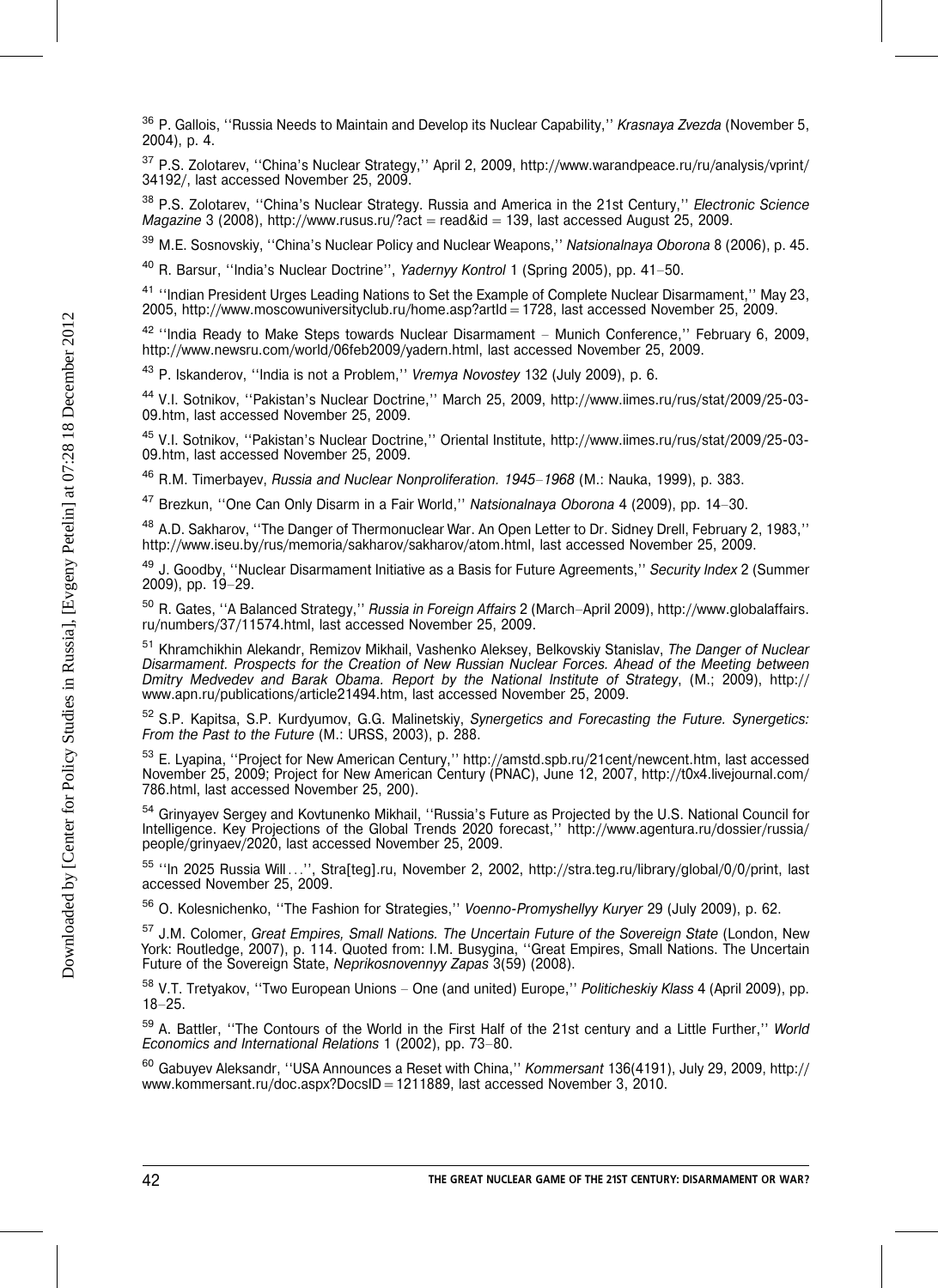<sup>36</sup> P. Gallois, "Russia Needs to Maintain and Develop its Nuclear Capability," Krasnaya Zvezda (November 5, 2004), p. 4.

 $37$  P.S. Zolotarev, "China's Nuclear Strategy," April 2, 2009, [http://www.warandpeace.ru/ru/analysis/vprint/](http://www.warandpeace.ru/ru/analysis/vprint/34192/) [34192/,](http://www.warandpeace.ru/ru/analysis/vprint/34192/) last accessed November 25, 2009.

<sup>38</sup> P.S. Zolotarev, "China's Nuclear Strategy. Russia and America in the 21st Century," Electronic Science  $Maxi = 3$  (2008), http://www.rusus.ru/?act = read&id = 139, last accessed August 25, 2009.

<sup>39</sup> M.E. Sosnovskiy, ''China's Nuclear Policy and Nuclear Weapons,'' Natsionalnaya Oborona 8 (2006), p. 45.

<sup>40</sup> R. Barsur, "India's Nuclear Doctrine", Yadernyy Kontrol 1 (Spring 2005), pp. 41-50.

<sup>41</sup> "Indian President Urges Leading Nations to Set the Example of Complete Nuclear Disarmament," May 23, 2005, [http://www.moscowuniversityclub.ru/home.asp?artId](http://www.moscowuniversityclub.ru/home.asp?artId=1728) = [1728,](http://www.moscowuniversityclub.ru/home.asp?artId=1728) last accessed November 25, 2009.

<sup>42</sup> "India Ready to Make Steps towards Nuclear Disarmament - Munich Conference," February 6, 2009, [http://www.newsru.com/world/06feb2009/yadern.html,](http://www.newsru.com/world/06feb2009/yadern.html) last accessed November 25, 2009.

<sup>43</sup> P. Iskanderov, ''India is not a Problem,'' Vremya Novostey 132 (July 2009), p. 6.

<sup>44</sup> V.I. Sotnikov, ''Pakistan's Nuclear Doctrine,'' March 25, 2009, [http://www.iimes.ru/rus/stat/2009/25-03-](http://www.iimes.ru/rus/stat/2009/25-03-09.htm) [09.htm](http://www.iimes.ru/rus/stat/2009/25-03-09.htm), last accessed November 25, 2009.

<sup>45</sup> V.I. Sotnikov, ''Pakistan's Nuclear Doctrine,'' Oriental Institute, [http://www.iimes.ru/rus/stat/2009/25-03-](http://www.iimes.ru/rus/stat/2009/25-03-09.htm) [09.htm](http://www.iimes.ru/rus/stat/2009/25-03-09.htm), last accessed November 25, 2009.

<sup>46</sup> R.M. Timerbayev, Russia and Nuclear Nonproliferation. 1945–1968 (M.: Nauka, 1999), p. 383.

<sup>47</sup> Brezkun, "One Can Only Disarm in a Fair World," Natsionalnaya Oborona 4 (2009), pp. 14–30.

<sup>48</sup> A.D. Sakharov, ''The Danger of Thermonuclear War. An Open Letter to Dr. Sidney Drell, February 2, 1983,'' [http://www.iseu.by/rus/memoria/sakharov/sakharov/atom.html,](http://www.iseu.by/rus/memoria/sakharov/sakharov/atom.html) last accessed November 25, 2009.

<sup>49</sup> J. Goodby, "Nuclear Disarmament Initiative as a Basis for Future Agreements," Security Index 2 (Summer 2009), pp. 19-29.

<sup>50</sup> R. Gates, ''A Balanced Strategy,'' *Russia in Foreign Affairs* 2 (March–April 2009), [http://www.globalaffairs.](http://www.globalaffairs.ru/numbers/37/11574.html) [ru/numbers/37/11574.html,](http://www.globalaffairs.ru/numbers/37/11574.html) last accessed November 25, 2009.

<sup>51</sup> Khramchikhin Alekandr, Remizov Mikhail, Vashenko Aleksey, Belkovskiy Stanislav, The Danger of Nuclear Disarmament. Prospects for the Creation of New Russian Nuclear Forces. Ahead of the Meeting between Dmitry Medvedev and Barak Obama. Report by the National Institute of Strategy, (M.; 2009), [http://](http://www.apn.ru/publications/article21494.htm) [www.apn.ru/publications/article21494.htm,](http://www.apn.ru/publications/article21494.htm) last accessed November 25, 2009.

<sup>52</sup> S.P. Kapitsa, S.P. Kurdyumov, G.G. Malinetskiy, Synergetics and Forecasting the Future. Synergetics: From the Past to the Future (M.: URSS, 2003), p. 288.

53 E. Lyapina, "Project for New American Century," <http://amstd.spb.ru/21cent/newcent.htm>, last accessed November 25, 2009; Project for New American Century (PNAC), June 12, 2007, [http://t0x4.livejournal.com/](http://t0x4.livejournal.com/786.html) [786.html,](http://t0x4.livejournal.com/786.html) last accessed November 25, 200).

<sup>54</sup> Grinyayev Sergey and Kovtunenko Mikhail, ''Russia's Future as Projected by the U.S. National Council for Intelligence. Key Projections of the Global Trends 2020 forecast,'' [http://www.agentura.ru/dossier/russia/](http://www.agentura.ru/dossier/russia/people/grinyaev/2020) [people/grinyaev/2020](http://www.agentura.ru/dossier/russia/people/grinyaev/2020), last accessed November 25, 2009.

<sup>55</sup> ''In 2025 Russia Will ...'', Stra[teg].ru, November 2, 2002, [http://stra.teg.ru/library/global/0/0/print,](http://stra.teg.ru/library/global/0/0/print) last accessed November 25, 2009.

<sup>56</sup> O. Kolesnichenko, "The Fashion for Strategies," Voenno-Promyshellyy Kuryer 29 (July 2009), p. 62.

57 J.M. Colomer, Great Empires, Small Nations. The Uncertain Future of the Sovereign State (London, New York: Routledge, 2007), p. 114. Quoted from: I.M. Busygina, ''Great Empires, Small Nations. The Uncertain Future of the Sovereign State, Neprikosnovennyy Zapas 3(59) (2008).

<sup>58</sup> V.T. Tretyakov, ''Two European Unions – One (and united) Europe,'' *Politicheskiy Klass* 4 (April 2009), pp. 18-25.

<sup>59</sup> A. Battler, "The Contours of the World in the First Half of the 21st century and a Little Further," World Economics and International Relations 1 (2002), pp. 73-80.

<sup>60</sup> Gabuyev Aleksandr, "USA Announces a Reset with China," Kommersant 136(4191), July 29, 2009, [http://](http://www.kommersant.ru/doc.aspx?DocsID=1211889) [www.kommersant.ru/doc.aspx?DocsID](http://www.kommersant.ru/doc.aspx?DocsID=1211889) = [1211889](http://www.kommersant.ru/doc.aspx?DocsID=1211889), last accessed November 3, 2010.